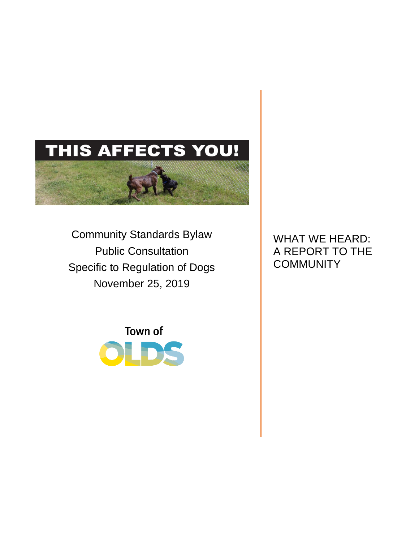# THIS AFFECTS YOU!

Community Standards Bylaw Public Consultation Specific to Regulation of Dogs November 25, 2019



WHAT WE HEARD: A REPORT TO THE **COMMUNITY**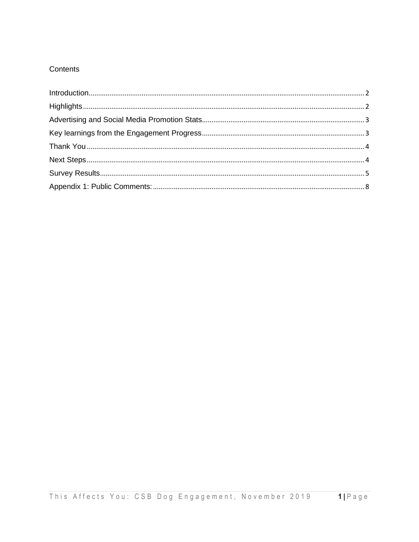# Contents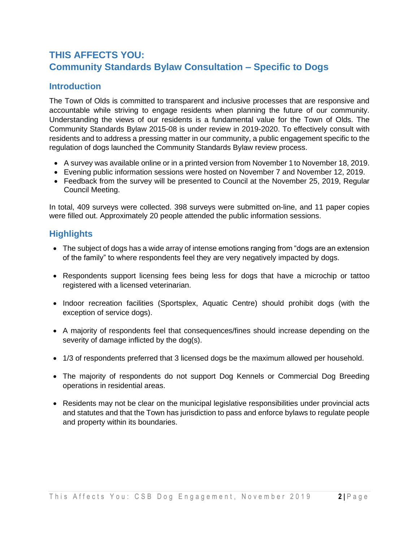# **THIS AFFECTS YOU: Community Standards Bylaw Consultation – Specific to Dogs**

# <span id="page-2-0"></span>**Introduction**

The Town of Olds is committed to transparent and inclusive processes that are responsive and accountable while striving to engage residents when planning the future of our community. Understanding the views of our residents is a fundamental value for the Town of Olds. The Community Standards Bylaw 2015-08 is under review in 2019-2020. To effectively consult with residents and to address a pressing matter in our community, a public engagement specific to the regulation of dogs launched the Community Standards Bylaw review process.

- A survey was available online or in a printed version from November 1 to November 18, 2019.
- Evening public information sessions were hosted on November 7 and November 12, 2019.
- Feedback from the survey will be presented to Council at the November 25, 2019, Regular Council Meeting.

In total, 409 surveys were collected. 398 surveys were submitted on-line, and 11 paper copies were filled out. Approximately 20 people attended the public information sessions.

# <span id="page-2-1"></span>**Highlights**

- The subject of dogs has a wide array of intense emotions ranging from "dogs are an extension of the family" to where respondents feel they are very negatively impacted by dogs.
- Respondents support licensing fees being less for dogs that have a microchip or tattoo registered with a licensed veterinarian.
- Indoor recreation facilities (Sportsplex, Aquatic Centre) should prohibit dogs (with the exception of service dogs).
- A majority of respondents feel that consequences/fines should increase depending on the severity of damage inflicted by the dog(s).
- 1/3 of respondents preferred that 3 licensed dogs be the maximum allowed per household.
- The majority of respondents do not support Dog Kennels or Commercial Dog Breeding operations in residential areas.
- Residents may not be clear on the municipal legislative responsibilities under provincial acts and statutes and that the Town has jurisdiction to pass and enforce bylaws to regulate people and property within its boundaries.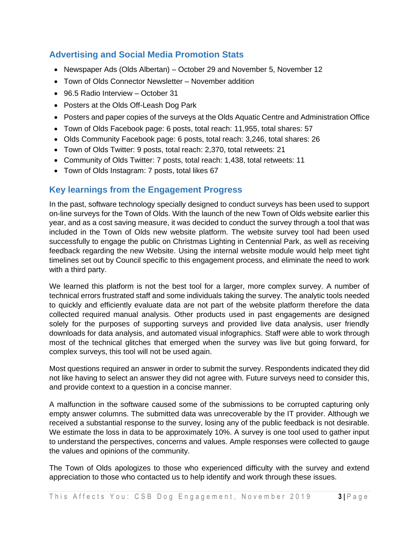# <span id="page-3-0"></span>**Advertising and Social Media Promotion Stats**

- Newspaper Ads (Olds Albertan) October 29 and November 5, November 12
- Town of Olds Connector Newsletter November addition
- 96.5 Radio Interview October 31
- Posters at the Olds Off-Leash Dog Park
- Posters and paper copies of the surveys at the Olds Aquatic Centre and Administration Office
- Town of Olds Facebook page: 6 posts, total reach: 11,955, total shares: 57
- Olds Community Facebook page: 6 posts, total reach: 3,246, total shares: 26
- Town of Olds Twitter: 9 posts, total reach: 2,370, total retweets: 21
- Community of Olds Twitter: 7 posts, total reach: 1,438, total retweets: 11
- Town of Olds Instagram: 7 posts, total likes 67

#### <span id="page-3-1"></span>**Key learnings from the Engagement Progress**

In the past, software technology specially designed to conduct surveys has been used to support on-line surveys for the Town of Olds. With the launch of the new Town of Olds website earlier this year, and as a cost saving measure, it was decided to conduct the survey through a tool that was included in the Town of Olds new website platform. The website survey tool had been used successfully to engage the public on Christmas Lighting in Centennial Park, as well as receiving feedback regarding the new Website. Using the internal website module would help meet tight timelines set out by Council specific to this engagement process, and eliminate the need to work with a third party.

We learned this platform is not the best tool for a larger, more complex survey. A number of technical errors frustrated staff and some individuals taking the survey. The analytic tools needed to quickly and efficiently evaluate data are not part of the website platform therefore the data collected required manual analysis. Other products used in past engagements are designed solely for the purposes of supporting surveys and provided live data analysis, user friendly downloads for data analysis, and automated visual infographics. Staff were able to work through most of the technical glitches that emerged when the survey was live but going forward, for complex surveys, this tool will not be used again.

Most questions required an answer in order to submit the survey. Respondents indicated they did not like having to select an answer they did not agree with. Future surveys need to consider this, and provide context to a question in a concise manner.

A malfunction in the software caused some of the submissions to be corrupted capturing only empty answer columns. The submitted data was unrecoverable by the IT provider. Although we received a substantial response to the survey, losing any of the public feedback is not desirable. We estimate the loss in data to be approximately 10%. A survey is one tool used to gather input to understand the perspectives, concerns and values. Ample responses were collected to gauge the values and opinions of the community.

The Town of Olds apologizes to those who experienced difficulty with the survey and extend appreciation to those who contacted us to help identify and work through these issues.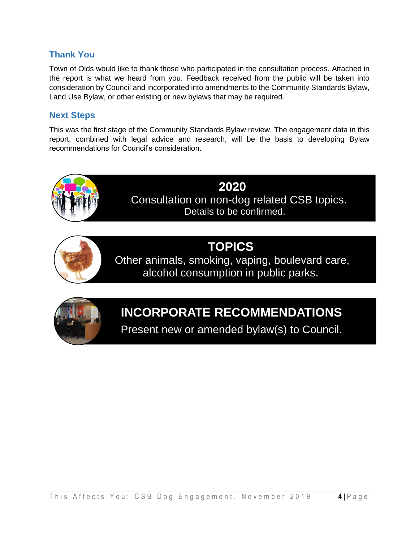# <span id="page-4-0"></span>**Thank You**

Town of Olds would like to thank those who participated in the consultation process. Attached in the report is what we heard from you. Feedback received from the public will be taken into consideration by Council and incorporated into amendments to the Community Standards Bylaw, Land Use Bylaw, or other existing or new bylaws that may be required.

# <span id="page-4-1"></span>**Next Steps**

This was the first stage of the Community Standards Bylaw review. The engagement data in this report, combined with legal advice and research, will be the basis to developing Bylaw recommendations for Council's consideration.



# **TOPICS**

Other animals, smoking, vaping, boulevard care, alcohol consumption in public parks.



# **INCORPORATE RECOMMENDATIONS**

Present new or amended bylaw(s) to Council.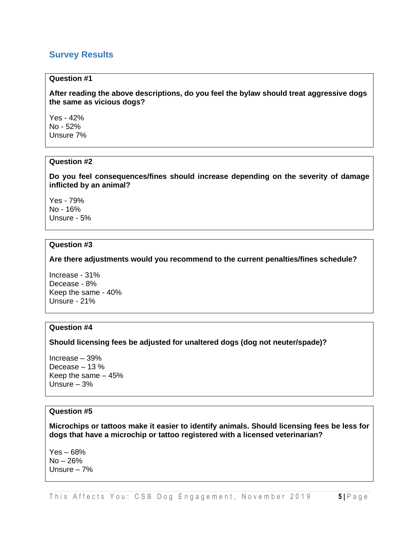#### <span id="page-5-0"></span>**Survey Results**

#### **Question #1**

**After reading the above descriptions, do you feel the bylaw should treat aggressive dogs the same as vicious dogs?**

Yes - 42% No - 52% Unsure 7%

#### **Question #2**

**Do you feel consequences/fines should increase depending on the severity of damage inflicted by an animal?**

Yes - 79% No - 16% Unsure - 5%

#### **Question #3**

**Are there adjustments would you recommend to the current penalties/fines schedule?**

Increase - 31% Decease - 8% Keep the same - 40% Unsure - 21%

#### **Question #4**

**Should licensing fees be adjusted for unaltered dogs (dog not neuter/spade)?**

Increase – 39% Decease – 13 % Keep the same – 45% Unsure – 3%

#### **Question #5**

**Microchips or tattoos make it easier to identify animals. Should licensing fees be less for dogs that have a microchip or tattoo registered with a licensed veterinarian?**

Yes – 68% No – 26% Unsure – 7%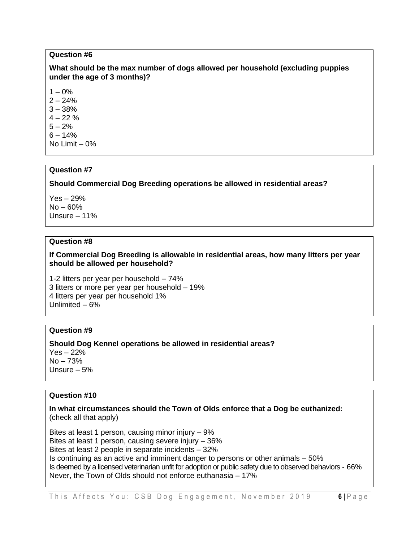#### **Question #6**

#### **What should be the max number of dogs allowed per household (excluding puppies under the age of 3 months)?**

 $1 - 0\%$ 

 $2 - 24%$ 

 $3 - 38%$ 

 $4 - 22\%$ 

 $5 - 2%$ 

 $6 - 14%$ No Limit – 0%

#### **Question #7**

#### **Should Commercial Dog Breeding operations be allowed in residential areas?**

Yes – 29% No – 60% Unsure – 11%

#### **Question #8**

#### **If Commercial Dog Breeding is allowable in residential areas, how many litters per year should be allowed per household?**

1-2 litters per year per household – 74% 3 litters or more per year per household – 19% 4 litters per year per household 1% Unlimited – 6%

#### **Question #9**

#### **Should Dog Kennel operations be allowed in residential areas?**  Yes – 22%  $No - 73%$ Unsure – 5%

#### **Question #10**

#### **In what circumstances should the Town of Olds enforce that a Dog be euthanized:** (check all that apply)

Bites at least 1 person, causing minor injury – 9% Bites at least 1 person, causing severe injury – 36% Bites at least 2 people in separate incidents – 32% Is continuing as an active and imminent danger to persons or other animals – 50% Is deemed by a licensed veterinarian unfit for adoption or public safety due to observed behaviors - 66% Never, the Town of Olds should not enforce euthanasia – 17%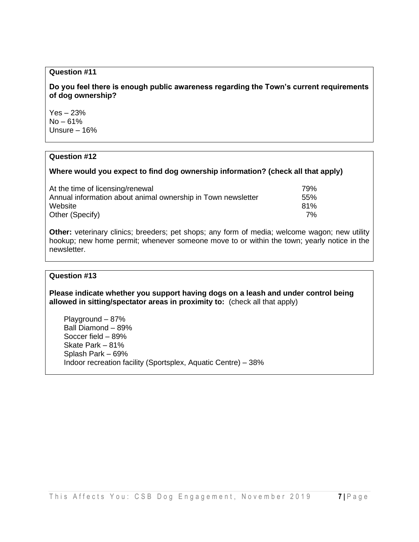#### **Question #11**

**Do you feel there is enough public awareness regarding the Town's current requirements of dog ownership?** 

Yes – 23%  $No - 61%$ Unsure – 16%

#### **Question #12**

#### **Where would you expect to find dog ownership information? (check all that apply)**

| At the time of licensing/renewal                             | 79%             |
|--------------------------------------------------------------|-----------------|
| Annual information about animal ownership in Town newsletter | .55%            |
| Website                                                      | 81 <sup>%</sup> |
| Other (Specify)                                              | 7% l            |

**Other:** veterinary clinics; breeders; pet shops; any form of media; welcome wagon; new utility hookup; new home permit; whenever someone move to or within the town; yearly notice in the newsletter.

#### **Question #13**

**Please indicate whether you support having dogs on a leash and under control being allowed in sitting/spectator areas in proximity to:** (check all that apply)

Playground – 87% Ball Diamond – 89% Soccer field – 89% Skate Park – 81% Splash Park – 69% Indoor recreation facility (Sportsplex, Aquatic Centre) – 38%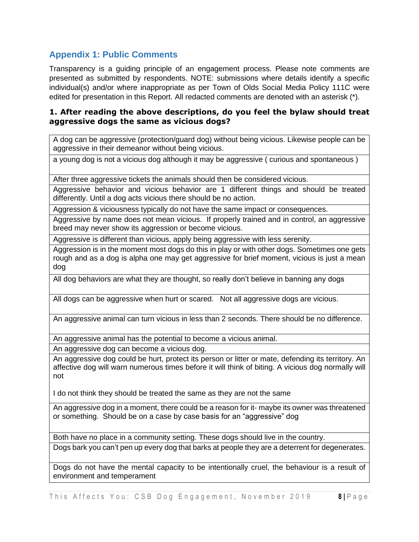# <span id="page-8-0"></span>**Appendix 1: Public Comments**

Transparency is a guiding principle of an engagement process. Please note comments are presented as submitted by respondents. NOTE: submissions where details identify a specific individual(s) and/or where inappropriate as per Town of Olds Social Media Policy 111C were edited for presentation in this Report. All redacted comments are denoted with an asterisk (\*).

#### **1. After reading the above descriptions, do you feel the bylaw should treat aggressive dogs the same as vicious dogs?**

A dog can be aggressive (protection/guard dog) without being vicious. Likewise people can be aggressive in their demeanor without being vicious.

a young dog is not a vicious dog although it may be aggressive ( curious and spontaneous )

After three aggressive tickets the animals should then be considered vicious.

Aggressive behavior and vicious behavior are 1 different things and should be treated differently. Until a dog acts vicious there should be no action.

Aggression & viciousness typically do not have the same impact or consequences.

Aggressive by name does not mean vicious. If properly trained and in control, an aggressive breed may never show its aggression or become vicious.

Aggressive is different than vicious, apply being aggressive with less serenity.

Aggression is in the moment most dogs do this in play or with other dogs. Sometimes one gets rough and as a dog is alpha one may get aggressive for brief moment, vicious is just a mean dog

All dog behaviors are what they are thought, so really don't believe in banning any dogs

All dogs can be aggressive when hurt or scared. Not all aggressive dogs are vicious.

An aggressive animal can turn vicious in less than 2 seconds. There should be no difference.

An aggressive animal has the potential to become a vicious animal.

An aggressive dog can become a vicious dog.

An aggressive dog could be hurt, protect its person or litter or mate, defending its territory. An affective dog will warn numerous times before it will think of biting. A vicious dog normally will not

I do not think they should be treated the same as they are not the same

An aggressive dog in a moment, there could be a reason for it- maybe its owner was threatened or something. Should be on a case by case basis for an "aggressive" dog

Both have no place in a community setting. These dogs should live in the country.

Dogs bark you can't pen up every dog that barks at people they are a deterrent for degenerates.

Dogs do not have the mental capacity to be intentionally cruel, the behaviour is a result of environment and temperament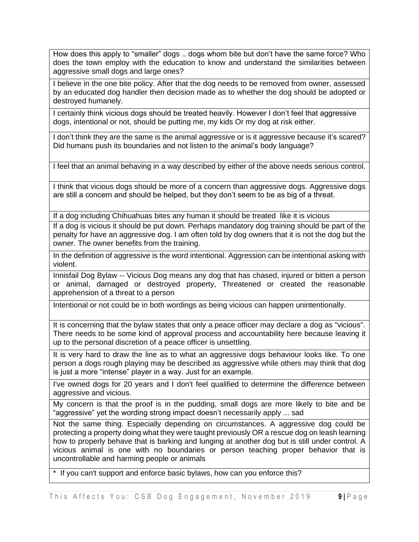How does this apply to "smaller" dogs .. dogs whom bite but don't have the same force? Who does the town employ with the education to know and understand the similarities between aggressive small dogs and large ones?

I believe in the one bite policy. After that the dog needs to be removed from owner, assessed by an educated dog handler then decision made as to whether the dog should be adopted or destroyed humanely.

I certainly think vicious dogs should be treated heavily. However I don't feel that aggressive dogs, intentional or not, should be putting me, my kids Or my dog at risk either.

I don't think they are the same is the animal aggressive or is it aggressive because it's scared? Did humans push its boundaries and not listen to the animal's body language?

I feel that an animal behaving in a way described by either of the above needs serious control.

I think that vicious dogs should be more of a concern than aggressive dogs. Aggressive dogs are still a concern and should be helped, but they don't seem to be as big of a threat.

If a dog including Chihuahuas bites any human it should be treated like it is vicious

If a dog is vicious it should be put down. Perhaps mandatory dog training should be part of the penalty for have an aggressive dog. I am often told by dog owners that it is not the dog but the owner. The owner benefits from the training.

In the definition of aggressive is the word intentional. Aggression can be intentional asking with violent.

Innisfail Dog Bylaw -- Vicious Dog means any dog that has chased, injured or bitten a person or animal, damaged or destroyed property, Threatened or created the reasonable apprehension of a threat to a person

Intentional or not could be in both wordings as being vicious can happen unintentionally.

It is concerning that the bylaw states that only a peace officer may declare a dog as "vicious". There needs to be some kind of approval process and accountability here because leaving it up to the personal discretion of a peace officer is unsettling.

It is very hard to draw the line as to what an aggressive dogs behaviour looks like. To one person a dogs rough playing may be described as aggressive while others may think that dog is just a more "intense" player in a way. Just for an example.

I've owned dogs for 20 years and I don't feel qualified to determine the difference between aggressive and vicious.

My concern is that the proof is in the pudding, small dogs are more likely to bite and be "aggressive" yet the wording strong impact doesn't necessarily apply ... sad

Not the same thing. Especially depending on circumstances. A aggressive dog could be protecting a property doing what they were taught previously OR a rescue dog on leash learning how to properly behave that is barking and lunging at another dog but is still under control. A vicious animal is one with no boundaries or person teaching proper behavior that is uncontrollable and harming people or animals

\* If you can't support and enforce basic bylaws, how can you enforce this?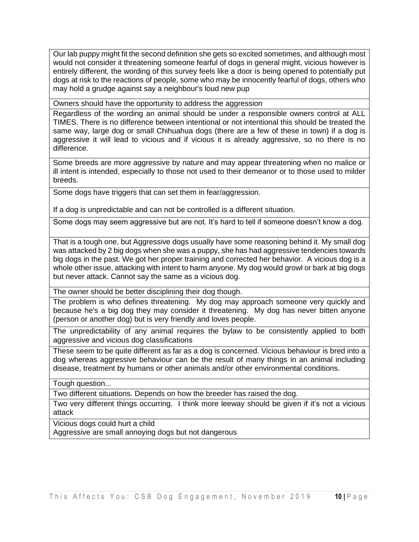Our lab puppy might fit the second definition she gets so excited sometimes, and although most would not consider it threatening someone fearful of dogs in general might, vicious however is entirely different, the wording of this survey feels like a door is being opened to potentially put dogs at risk to the reactions of people, some who may be innocently fearful of dogs, others who may hold a grudge against say a neighbour's loud new pup

Owners should have the opportunity to address the aggression

Regardless of the wording an animal should be under a responsible owners control at ALL TIMES. There is no difference between intentional or not intentional this should be treated the same way, large dog or small Chihuahua dogs (there are a few of these in town) if a dog is aggressive it will lead to vicious and if vicious it is already aggressive, so no there is no difference.

Some breeds are more aggressive by nature and may appear threatening when no malice or ill intent is intended, especially to those not used to their demeanor or to those used to milder breeds.

Some dogs have triggers that can set them in fear/aggression.

If a dog is unpredictable and can not be controlled is a different situation.

Some dogs may seem aggressive but are not. It's hard to tell if someone doesn't know a dog.

That is a tough one, but Aggressive dogs usually have some reasoning behind it. My small dog was attacked by 2 big dogs when she was a puppy, she has had aggressive tendencies towards big dogs in the past. We got her proper training and corrected her behavior. A vicious dog is a whole other issue, attacking with intent to harm anyone. My dog would growl or bark at big dogs but never attack. Cannot say the same as a vicious dog.

The owner should be better disciplining their dog though.

The problem is who defines threatening. My dog may approach someone very quickly and because he's a big dog they may consider it threatening. My dog has never bitten anyone (person or another dog) but is very friendly and loves people.

The unpredictability of any animal requires the bylaw to be consistently applied to both aggressive and vicious dog classifications

These seem to be quite different as far as a dog is concerned. Vicious behaviour is bred into a dog whereas aggressive behaviour can be the result of many things in an animal including disease, treatment by humans or other animals and/or other environmental conditions.

Tough question...

Two different situations. Depends on how the breeder has raised the dog.

Two very different things occurring. I think more leeway should be given if it's not a vicious attack

Vicious dogs could hurt a child

Aggressive are small annoying dogs but not dangerous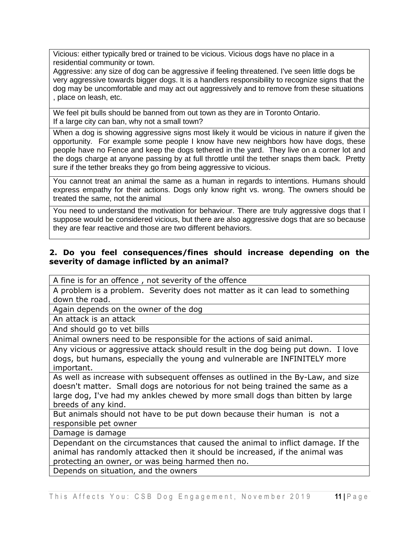Vicious: either typically bred or trained to be vicious. Vicious dogs have no place in a residential community or town.

Aggressive: any size of dog can be aggressive if feeling threatened. I've seen little dogs be very aggressive towards bigger dogs. It is a handlers responsibility to recognize signs that the dog may be uncomfortable and may act out aggressively and to remove from these situations , place on leash, etc.

We feel pit bulls should be banned from out town as they are in Toronto Ontario. If a large city can ban, why not a small town?

When a dog is showing aggressive signs most likely it would be vicious in nature if given the opportunity. For example some people I know have new neighbors how have dogs, these people have no Fence and keep the dogs tethered in the yard. They live on a corner lot and the dogs charge at anyone passing by at full throttle until the tether snaps them back. Pretty sure if the tether breaks they go from being aggressive to vicious.

You cannot treat an animal the same as a human in regards to intentions. Humans should express empathy for their actions. Dogs only know right vs. wrong. The owners should be treated the same, not the animal

You need to understand the motivation for behaviour. There are truly aggressive dogs that I suppose would be considered vicious, but there are also aggressive dogs that are so because they are fear reactive and those are two different behaviors.

#### **2. Do you feel consequences/fines should increase depending on the severity of damage inflicted by an animal?**

A fine is for an offence , not severity of the offence

A problem is a problem. Severity does not matter as it can lead to something down the road.

Again depends on the owner of the dog

An attack is an attack

And should go to vet bills

Animal owners need to be responsible for the actions of said animal.

Any vicious or aggressive attack should result in the dog being put down. I love dogs, but humans, especially the young and vulnerable are INFINITELY more important.

As well as increase with subsequent offenses as outlined in the By-Law, and size doesn't matter. Small dogs are notorious for not being trained the same as a large dog, I've had my ankles chewed by more small dogs than bitten by large breeds of any kind.

But animals should not have to be put down because their human is not a responsible pet owner

Damage is damage

Dependant on the circumstances that caused the animal to inflict damage. If the animal has randomly attacked then it should be increased, if the animal was protecting an owner, or was being harmed then no. Depends on situation, and the owners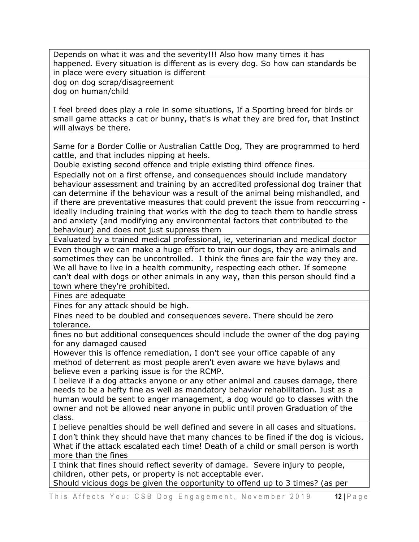Depends on what it was and the severity!!! Also how many times it has happened. Every situation is different as is every dog. So how can standards be in place were every situation is different

dog on dog scrap/disagreement dog on human/child

I feel breed does play a role in some situations, If a Sporting breed for birds or small game attacks a cat or bunny, that's is what they are bred for, that Instinct will always be there.

Same for a Border Collie or Australian Cattle Dog, They are programmed to herd cattle, and that includes nipping at heels.

Double existing second offence and triple existing third offence fines.

Especially not on a first offense, and consequences should include mandatory behaviour assessment and training by an accredited professional dog trainer that can determine if the behaviour was a result of the animal being mishandled, and if there are preventative measures that could prevent the issue from reoccurring ideally including training that works with the dog to teach them to handle stress and anxiety (and modifying any environmental factors that contributed to the behaviour) and does not just suppress them

Evaluated by a trained medical professional, ie, veterinarian and medical doctor

Even though we can make a huge effort to train our dogs, they are animals and sometimes they can be uncontrolled. I think the fines are fair the way they are. We all have to live in a health community, respecting each other. If someone can't deal with dogs or other animals in any way, than this person should find a town where they're prohibited.

Fines are adequate

Fines for any attack should be high.

Fines need to be doubled and consequences severe. There should be zero tolerance.

fines no but additional consequences should include the owner of the dog paying for any damaged caused

However this is offence remediation, I don't see your office capable of any method of deterrent as most people aren't even aware we have bylaws and believe even a parking issue is for the RCMP.

I believe if a dog attacks anyone or any other animal and causes damage, there needs to be a hefty fine as well as mandatory behavior rehabilitation. Just as a human would be sent to anger management, a dog would go to classes with the owner and not be allowed near anyone in public until proven Graduation of the class.

I believe penalties should be well defined and severe in all cases and situations.

I don't think they should have that many chances to be fined if the dog is vicious. What if the attack escalated each time! Death of a child or small person is worth more than the fines

I think that fines should reflect severity of damage. Severe injury to people, children, other pets, or property is not acceptable ever.

Should vicious dogs be given the opportunity to offend up to 3 times? (as per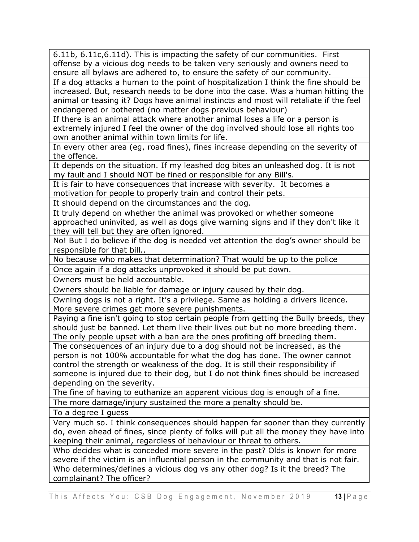6.11b, 6.11c,6.11d). This is impacting the safety of our communities. First offense by a vicious dog needs to be taken very seriously and owners need to ensure all bylaws are adhered to, to ensure the safety of our community.

If a dog attacks a human to the point of hospitalization I think the fine should be increased. But, research needs to be done into the case. Was a human hitting the animal or teasing it? Dogs have animal instincts and most will retaliate if the feel endangered or bothered (no matter dogs previous behaviour)

If there is an animal attack where another animal loses a life or a person is extremely injured I feel the owner of the dog involved should lose all rights too own another animal within town limits for life.

In every other area (eg, road fines), fines increase depending on the severity of the offence.

It depends on the situation. If my leashed dog bites an unleashed dog. It is not my fault and I should NOT be fined or responsible for any Bill's.

It is fair to have consequences that increase with severity. It becomes a motivation for people to properly train and control their pets.

It should depend on the circumstances and the dog.

It truly depend on whether the animal was provoked or whether someone approached uninvited, as well as dogs give warning signs and if they don't like it they will tell but they are often ignored.

No! But I do believe if the dog is needed vet attention the dog's owner should be responsible for that bill..

No because who makes that determination? That would be up to the police

Once again if a dog attacks unprovoked it should be put down.

Owners must be held accountable.

Owners should be liable for damage or injury caused by their dog.

Owning dogs is not a right. It's a privilege. Same as holding a drivers licence. More severe crimes get more severe punishments.

Paying a fine isn't going to stop certain people from getting the Bully breeds, they should just be banned. Let them live their lives out but no more breeding them. The only people upset with a ban are the ones profiting off breeding them.

The consequences of an injury due to a dog should not be increased, as the person is not 100% accountable for what the dog has done. The owner cannot control the strength or weakness of the dog. It is still their responsibility if someone is injured due to their dog, but I do not think fines should be increased depending on the severity.

The fine of having to euthanize an apparent vicious dog is enough of a fine.

The more damage/injury sustained the more a penalty should be.

To a degree I guess

Very much so. I think consequences should happen far sooner than they currently do, even ahead of fines, since plenty of folks will put all the money they have into keeping their animal, regardless of behaviour or threat to others.

Who decides what is conceded more severe in the past? Olds is known for more severe if the victim is an influential person in the community and that is not fair. Who determines/defines a vicious dog vs any other dog? Is it the breed? The

complainant? The officer?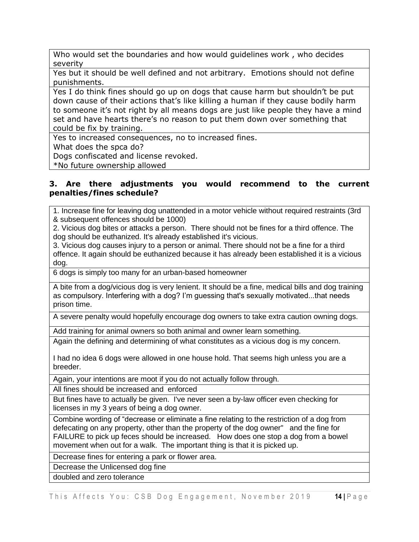Who would set the boundaries and how would guidelines work , who decides severity

Yes but it should be well defined and not arbitrary. Emotions should not define punishments.

Yes I do think fines should go up on dogs that cause harm but shouldn't be put down cause of their actions that's like killing a human if they cause bodily harm to someone it's not right by all means dogs are just like people they have a mind set and have hearts there's no reason to put them down over something that could be fix by training.

Yes to increased consequences, no to increased fines.

What does the spca do?

Dogs confiscated and license revoked.

\*No future ownership allowed

#### **3. Are there adjustments you would recommend to the current penalties/fines schedule?**

1. Increase fine for leaving dog unattended in a motor vehicle without required restraints (3rd & subsequent offences should be 1000)

2. Vicious dog bites or attacks a person. There should not be fines for a third offence. The dog should be euthanized. It's already established it's vicious.

3. Vicious dog causes injury to a person or animal. There should not be a fine for a third offence. It again should be euthanized because it has already been established it is a vicious dog.

6 dogs is simply too many for an urban-based homeowner

A bite from a dog/vicious dog is very lenient. It should be a fine, medical bills and dog training as compulsory. Interfering with a dog? I'm guessing that's sexually motivated...that needs prison time.

A severe penalty would hopefully encourage dog owners to take extra caution owning dogs.

Add training for animal owners so both animal and owner learn something.

Again the defining and determining of what constitutes as a vicious dog is my concern.

I had no idea 6 dogs were allowed in one house hold. That seems high unless you are a breeder.

Again, your intentions are moot if you do not actually follow through.

All fines should be increased and enforced

But fines have to actually be given. I've never seen a by-law officer even checking for licenses in my 3 years of being a dog owner.

Combine wording of "decrease or eliminate a fine relating to the restriction of a dog from defecating on any property, other than the property of the dog owner" and the fine for FAILURE to pick up feces should be increased. How does one stop a dog from a bowel movement when out for a walk. The important thing is that it is picked up.

Decrease fines for entering a park or flower area.

Decrease the Unlicensed dog fine

doubled and zero tolerance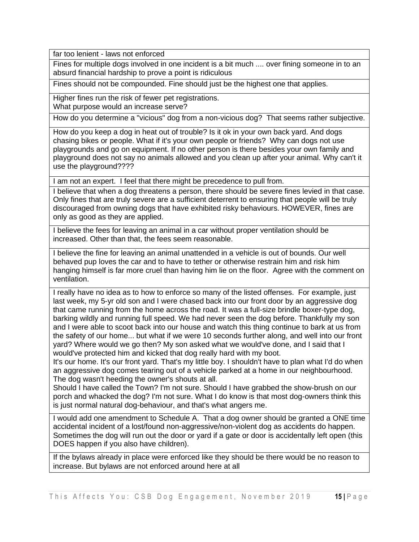far too lenient - laws not enforced

Fines for multiple dogs involved in one incident is a bit much .... over fining someone in to an absurd financial hardship to prove a point is ridiculous

Fines should not be compounded. Fine should just be the highest one that applies.

Higher fines run the risk of fewer pet registrations. What purpose would an increase serve?

How do you determine a "vicious" dog from a non-vicious dog? That seems rather subjective.

How do you keep a dog in heat out of trouble? Is it ok in your own back yard. And dogs chasing bikes or people. What if it's your own people or friends? Why can dogs not use playgrounds and go on equipment. If no other person is there besides your own family and playground does not say no animals allowed and you clean up after your animal. Why can't it use the playground????

I am not an expert. I feel that there might be precedence to pull from.

I believe that when a dog threatens a person, there should be severe fines levied in that case. Only fines that are truly severe are a sufficient deterrent to ensuring that people will be truly discouraged from owning dogs that have exhibited risky behaviours. HOWEVER, fines are only as good as they are applied.

I believe the fees for leaving an animal in a car without proper ventilation should be increased. Other than that, the fees seem reasonable.

I believe the fine for leaving an animal unattended in a vehicle is out of bounds. Our well behaved pup loves the car and to have to tether or otherwise restrain him and risk him hanging himself is far more cruel than having him lie on the floor. Agree with the comment on ventilation.

I really have no idea as to how to enforce so many of the listed offenses. For example, just last week, my 5-yr old son and I were chased back into our front door by an aggressive dog that came running from the home across the road. It was a full-size brindle boxer-type dog, barking wildly and running full speed. We had never seen the dog before. Thankfully my son and I were able to scoot back into our house and watch this thing continue to bark at us from the safety of our home... but what if we were 10 seconds further along, and well into our front yard? Where would we go then? My son asked what we would've done, and I said that I would've protected him and kicked that dog really hard with my boot.

It's our home. It's our front yard. That's my little boy. I shouldn't have to plan what I'd do when an aggressive dog comes tearing out of a vehicle parked at a home in our neighbourhood. The dog wasn't heeding the owner's shouts at all.

Should I have called the Town? I'm not sure. Should I have grabbed the show-brush on our porch and whacked the dog? I'm not sure. What I do know is that most dog-owners think this is just normal natural dog-behaviour, and that's what angers me.

I would add one amendment to Schedule A. That a dog owner should be granted a ONE time accidental incident of a lost/found non-aggressive/non-violent dog as accidents do happen. Sometimes the dog will run out the door or yard if a gate or door is accidentally left open (this DOES happen if you also have children).

If the bylaws already in place were enforced like they should be there would be no reason to increase. But bylaws are not enforced around here at all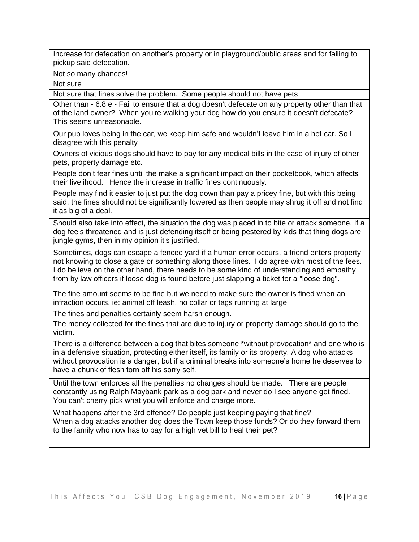Increase for defecation on another's property or in playground/public areas and for failing to pickup said defecation.

Not so many chances!

Not sure

Not sure that fines solve the problem. Some people should not have pets

Other than - 6.8 e - Fail to ensure that a dog doesn't defecate on any property other than that of the land owner? When you're walking your dog how do you ensure it doesn't defecate? This seems unreasonable.

Our pup loves being in the car, we keep him safe and wouldn't leave him in a hot car. So I disagree with this penalty

Owners of vicious dogs should have to pay for any medical bills in the case of injury of other pets, property damage etc.

People don't fear fines until the make a significant impact on their pocketbook, which affects their livelihood. Hence the increase in traffic fines continuously.

People may find it easier to just put the dog down than pay a pricey fine, but with this being said, the fines should not be significantly lowered as then people may shrug it off and not find it as big of a deal.

Should also take into effect, the situation the dog was placed in to bite or attack someone. If a dog feels threatened and is just defending itself or being pestered by kids that thing dogs are jungle gyms, then in my opinion it's justified.

Sometimes, dogs can escape a fenced yard if a human error occurs, a friend enters property not knowing to close a gate or something along those lines. I do agree with most of the fees. I do believe on the other hand, there needs to be some kind of understanding and empathy from by law officers if loose dog is found before just slapping a ticket for a "loose dog".

The fine amount seems to be fine but we need to make sure the owner is fined when an infraction occurs, ie: animal off leash, no collar or tags running at large

The fines and penalties certainly seem harsh enough.

The money collected for the fines that are due to injury or property damage should go to the victim.

There is a difference between a dog that bites someone \*without provocation\* and one who is in a defensive situation, protecting either itself, its family or its property. A dog who attacks without provocation is a danger, but if a criminal breaks into someone's home he deserves to have a chunk of flesh torn off his sorry self.

Until the town enforces all the penalties no changes should be made. There are people constantly using Ralph Maybank park as a dog park and never do I see anyone get fined. You can't cherry pick what you will enforce and charge more.

What happens after the 3rd offence? Do people just keeping paying that fine? When a dog attacks another dog does the Town keep those funds? Or do they forward them to the family who now has to pay for a high vet bill to heal their pet?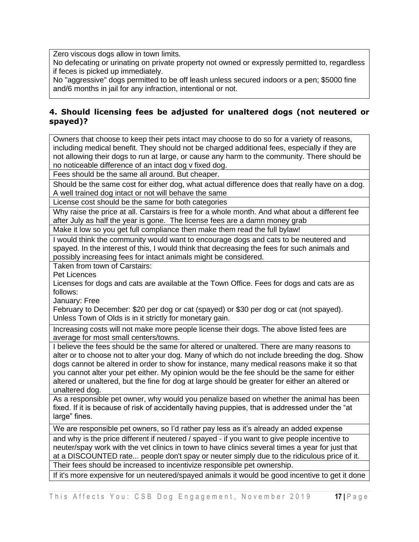Zero viscous dogs allow in town limits.

No defecating or urinating on private property not owned or expressly permitted to, regardless if feces is picked up immediately.

No "aggressive" dogs permitted to be off leash unless secured indoors or a pen; \$5000 fine and/6 months in jail for any infraction, intentional or not.

#### **4. Should licensing fees be adjusted for unaltered dogs (not neutered or spayed)?**

Owners that choose to keep their pets intact may choose to do so for a variety of reasons, including medical benefit. They should not be charged additional fees, especially if they are not allowing their dogs to run at large, or cause any harm to the community. There should be no noticeable difference of an intact dog v fixed dog.

Fees should be the same all around. But cheaper.

Should be the same cost for either dog, what actual difference does that really have on a dog. A well trained dog intact or not will behave the same

License cost should be the same for both categories

Why raise the price at all. Carstairs is free for a whole month. And what about a different fee after July as half the year is gone. The license fees are a damn money grab

Make it low so you get full compliance then make them read the full bylaw!

I would think the community would want to encourage dogs and cats to be neutered and spayed. In the interest of this, I would think that decreasing the fees for such animals and possibly increasing fees for intact animals might be considered.

Taken from town of Carstairs:

Pet Licences

Licenses for dogs and cats are available at the Town Office. Fees for dogs and cats are as follows:

January: Free

February to December: \$20 per dog or cat (spayed) or \$30 per dog or cat (not spayed). Unless Town of Olds is in it strictly for monetary gain.

Increasing costs will not make more people license their dogs. The above listed fees are average for most small centers/towns.

I believe the fees should be the same for altered or unaltered. There are many reasons to alter or to choose not to alter your dog. Many of which do not include breeding the dog. Show dogs cannot be altered in order to show for instance, many medical reasons make it so that you cannot alter your pet either. My opinion would be the fee should be the same for either altered or unaltered, but the fine for dog at large should be greater for either an altered or unaltered dog.

As a responsible pet owner, why would you penalize based on whether the animal has been fixed. If it is because of risk of accidentally having puppies, that is addressed under the "at large" fines.

We are responsible pet owners, so I'd rather pay less as it's already an added expense

and why is the price different if neutered / spayed - if you want to give people incentive to neuter/spay work with the vet clinics in town to have clinics several times a year for just that at a DISCOUNTED rate... people don't spay or neuter simply due to the ridiculous price of it. Their fees should be increased to incentivize responsible pet ownership.

If it's more expensive for un neutered/spayed animals it would be good incentive to get it done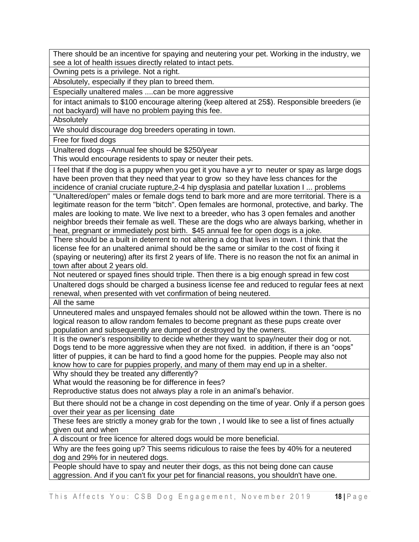There should be an incentive for spaying and neutering your pet. Working in the industry, we see a lot of health issues directly related to intact pets.

Owning pets is a privilege. Not a right.

Absolutely, especially if they plan to breed them.

Especially unaltered males ....can be more aggressive

for intact animals to \$100 encourage altering (keep altered at 25\$). Responsible breeders (ie not backyard) will have no problem paying this fee.

**Absolutely** 

We should discourage dog breeders operating in town.

Free for fixed dogs

Unaltered dogs --Annual fee should be \$250/year

This would encourage residents to spay or neuter their pets.

I feel that if the dog is a puppy when you get it you have a yr to neuter or spay as large dogs have been proven that they need that year to grow so they have less chances for the incidence of cranial cruciate rupture,2-4 hip dysplasia and patellar luxation I ... problems

"Unaltered/open" males or female dogs tend to bark more and are more territorial. There is a legitimate reason for the term "bitch". Open females are hormonal, protective, and barky. The males are looking to mate. We live next to a breeder, who has 3 open females and another neighbor breeds their female as well. These are the dogs who are always barking, whether in heat, pregnant or immediately post birth. \$45 annual fee for open dogs is a joke.

There should be a built in deterrent to not altering a dog that lives in town. I think that the license fee for an unaltered animal should be the same or similar to the cost of fixing it (spaying or neutering) after its first 2 years of life. There is no reason the not fix an animal in town after about 2 years old.

Not neutered or spayed fines should triple. Then there is a big enough spread in few cost

Unaltered dogs should be charged a business license fee and reduced to regular fees at next renewal, when presented with vet confirmation of being neutered.

All the same

Unneutered males and unspayed females should not be allowed within the town. There is no logical reason to allow random females to become pregnant as these pups create over population and subsequently are dumped or destroyed by the owners.

It is the owner's responsibility to decide whether they want to spay/neuter their dog or not. Dogs tend to be more aggressive when they are not fixed. in addition, if there is an "oops" litter of puppies, it can be hard to find a good home for the puppies. People may also not know how to care for puppies properly, and many of them may end up in a shelter.

Why should they be treated any differently?

What would the reasoning be for difference in fees?

Reproductive status does not always play a role in an animal's behavior.

But there should not be a change in cost depending on the time of year. Only if a person goes over their year as per licensing date

These fees are strictly a money grab for the town , I would like to see a list of fines actually given out and when

A discount or free licence for altered dogs would be more beneficial.

Why are the fees going up? This seems ridiculous to raise the fees by 40% for a neutered dog and 29% for in neutered dogs.

People should have to spay and neuter their dogs, as this not being done can cause aggression. And if you can't fix your pet for financial reasons, you shouldn't have one.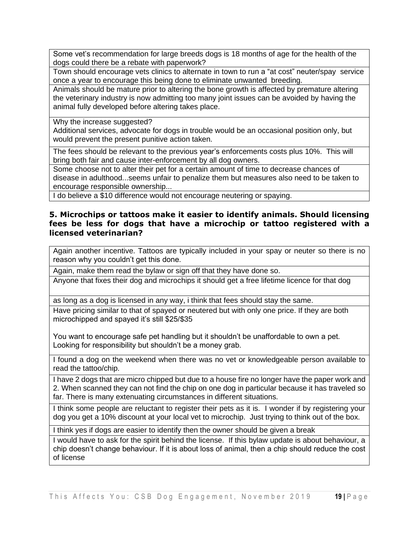Some vet's recommendation for large breeds dogs is 18 months of age for the health of the dogs could there be a rebate with paperwork?

Town should encourage vets clinics to alternate in town to run a "at cost" neuter/spay service once a year to encourage this being done to eliminate unwanted breeding.

Animals should be mature prior to altering the bone growth is affected by premature altering the veterinary industry is now admitting too many joint issues can be avoided by having the animal fully developed before altering takes place.

Why the increase suggested?

Additional services, advocate for dogs in trouble would be an occasional position only, but would prevent the present punitive action taken.

The fees should be relevant to the previous year's enforcements costs plus 10%. This will bring both fair and cause inter-enforcement by all dog owners.

Some choose not to alter their pet for a certain amount of time to decrease chances of disease in adulthood...seems unfair to penalize them but measures also need to be taken to encourage responsible ownership...

I do believe a \$10 difference would not encourage neutering or spaying.

#### **5. Microchips or tattoos make it easier to identify animals. Should licensing fees be less for dogs that have a microchip or tattoo registered with a licensed veterinarian?**

Again another incentive. Tattoos are typically included in your spay or neuter so there is no reason why you couldn't get this done.

Again, make them read the bylaw or sign off that they have done so.

Anyone that fixes their dog and microchips it should get a free lifetime licence for that dog

as long as a dog is licensed in any way, i think that fees should stay the same.

Have pricing similar to that of spayed or neutered but with only one price. If they are both microchipped and spayed it's still \$25/\$35

You want to encourage safe pet handling but it shouldn't be unaffordable to own a pet. Looking for responsibility but shouldn't be a money grab.

I found a dog on the weekend when there was no vet or knowledgeable person available to read the tattoo/chip.

I have 2 dogs that are micro chipped but due to a house fire no longer have the paper work and 2. When scanned they can not find the chip on one dog in particular because it has traveled so far. There is many extenuating circumstances in different situations.

I think some people are reluctant to register their pets as it is. I wonder if by registering your dog you get a 10% discount at your local vet to microchip. Just trying to think out of the box.

I think yes if dogs are easier to identify then the owner should be given a break

I would have to ask for the spirit behind the license. If this bylaw update is about behaviour, a chip doesn't change behaviour. If it is about loss of animal, then a chip should reduce the cost of license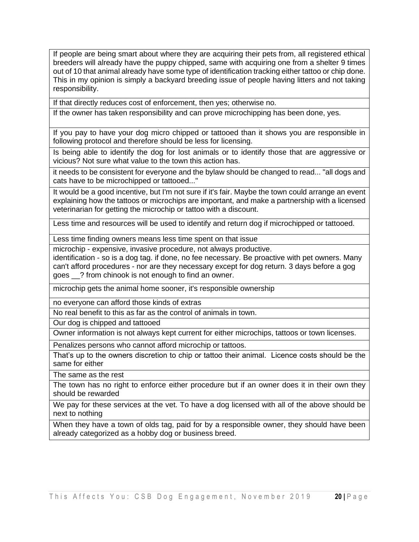If people are being smart about where they are acquiring their pets from, all registered ethical breeders will already have the puppy chipped, same with acquiring one from a shelter 9 times out of 10 that animal already have some type of identification tracking either tattoo or chip done. This in my opinion is simply a backyard breeding issue of people having litters and not taking responsibility.

If that directly reduces cost of enforcement, then yes; otherwise no.

If the owner has taken responsibility and can prove microchipping has been done, yes.

If you pay to have your dog micro chipped or tattooed than it shows you are responsible in following protocol and therefore should be less for licensing.

Is being able to identify the dog for lost animals or to identify those that are aggressive or vicious? Not sure what value to the town this action has.

it needs to be consistent for everyone and the bylaw should be changed to read... "all dogs and cats have to be microchipped or tattooed..."

It would be a good incentive, but I'm not sure if it's fair. Maybe the town could arrange an event explaining how the tattoos or microchips are important, and make a partnership with a licensed veterinarian for getting the microchip or tattoo with a discount.

Less time and resources will be used to identify and return dog if microchipped or tattooed.

Less time finding owners means less time spent on that issue

microchip - expensive, invasive procedure, not always productive.

identification - so is a dog tag. if done, no fee necessary. Be proactive with pet owners. Many can't afford procedures - nor are they necessary except for dog return. 3 days before a gog goes \_\_? from chinook is not enough to find an owner.

microchip gets the animal home sooner, it's responsible ownership

no everyone can afford those kinds of extras

No real benefit to this as far as the control of animals in town.

Our dog is chipped and tattooed

Owner information is not always kept current for either microchips, tattoos or town licenses.

Penalizes persons who cannot afford microchip or tattoos.

That's up to the owners discretion to chip or tattoo their animal. Licence costs should be the same for either

The same as the rest

The town has no right to enforce either procedure but if an owner does it in their own they should be rewarded

We pay for these services at the vet. To have a dog licensed with all of the above should be next to nothing

When they have a town of olds tag, paid for by a responsible owner, they should have been already categorized as a hobby dog or business breed.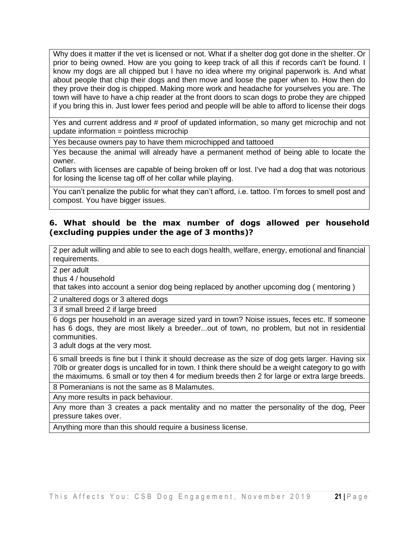Why does it matter if the vet is licensed or not. What if a shelter dog got done in the shelter. Or prior to being owned. How are you going to keep track of all this if records can't be found. I know my dogs are all chipped but I have no idea where my original paperwork is. And what about people that chip their dogs and then move and loose the paper when to. How then do they prove their dog is chipped. Making more work and headache for yourselves you are. The town will have to have a chip reader at the front doors to scan dogs to probe they are chipped if you bring this in. Just lower fees period and people will be able to afford to license their dogs

Yes and current address and # proof of updated information, so many get microchip and not update information = pointless microchip

Yes because owners pay to have them microchipped and tattooed

Yes because the animal will already have a permanent method of being able to locate the owner.

Collars with licenses are capable of being broken off or lost. I've had a dog that was notorious for losing the license tag off of her collar while playing.

You can't penalize the public for what they can't afford, i.e. tattoo. I'm forces to smell post and compost. You have bigger issues.

#### **6. What should be the max number of dogs allowed per household (excluding puppies under the age of 3 months)?**

2 per adult willing and able to see to each dogs health, welfare, energy, emotional and financial requirements.

2 per adult

thus 4 / household

that takes into account a senior dog being replaced by another upcoming dog ( mentoring )

2 unaltered dogs or 3 altered dogs

3 if small breed 2 if large breed

6 dogs per household in an average sized yard in town? Noise issues, feces etc. If someone has 6 dogs, they are most likely a breeder...out of town, no problem, but not in residential communities.

3 adult dogs at the very most.

6 small breeds is fine but I think it should decrease as the size of dog gets larger. Having six 70lb or greater dogs is uncalled for in town. I think there should be a weight category to go with the maximums. 6 small or toy then 4 for medium breeds then 2 for large or extra large breeds.

8 Pomeranians is not the same as 8 Malamutes.

Any more results in pack behaviour.

Any more than 3 creates a pack mentality and no matter the personality of the dog, Peer pressure takes over.

Anything more than this should require a business license.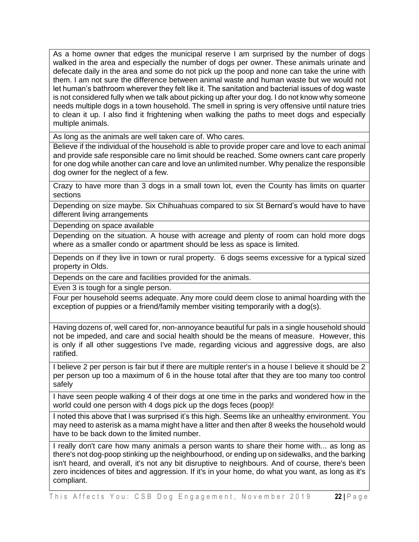As a home owner that edges the municipal reserve I am surprised by the number of dogs walked in the area and especially the number of dogs per owner. These animals urinate and defecate daily in the area and some do not pick up the poop and none can take the urine with them. I am not sure the difference between animal waste and human waste but we would not let human's bathroom wherever they felt like it. The sanitation and bacterial issues of dog waste is not considered fully when we talk about picking up after your dog. I do not know why someone needs multiple dogs in a town household. The smell in spring is very offensive until nature tries to clean it up. I also find it frightening when walking the paths to meet dogs and especially multiple animals.

As long as the animals are well taken care of. Who cares.

Believe if the individual of the household is able to provide proper care and love to each animal and provide safe responsible care no limit should be reached. Some owners cant care properly for one dog while another can care and love an unlimited number. Why penalize the responsible dog owner for the neglect of a few.

Crazy to have more than 3 dogs in a small town lot, even the County has limits on quarter sections

Depending on size maybe. Six Chihuahuas compared to six St Bernard's would have to have different living arrangements

Depending on space available

Depending on the situation. A house with acreage and plenty of room can hold more dogs where as a smaller condo or apartment should be less as space is limited.

Depends on if they live in town or rural property. 6 dogs seems excessive for a typical sized property in Olds.

Depends on the care and facilities provided for the animals.

Even 3 is tough for a single person.

Four per household seems adequate. Any more could deem close to animal hoarding with the exception of puppies or a friend/family member visiting temporarily with a dog(s).

Having dozens of, well cared for, non-annoyance beautiful fur pals in a single household should not be impeded, and care and social health should be the means of measure. However, this is only if all other suggestions I've made, regarding vicious and aggressive dogs, are also ratified.

I believe 2 per person is fair but if there are multiple renter's in a house I believe it should be 2 per person up too a maximum of 6 in the house total after that they are too many too control safely

I have seen people walking 4 of their dogs at one time in the parks and wondered how in the world could one person with 4 dogs pick up the dogs feces (poop)!

I noted this above that I was surprised it's this high. Seems like an unhealthy environment. You may need to asterisk as a mama might have a litter and then after 8 weeks the household would have to be back down to the limited number.

I really don't care how many animals a person wants to share their home with... as long as there's not dog-poop stinking up the neighbourhood, or ending up on sidewalks, and the barking isn't heard, and overall, it's not any bit disruptive to neighbours. And of course, there's been zero incidences of bites and aggression. If it's in your home, do what you want, as long as it's compliant.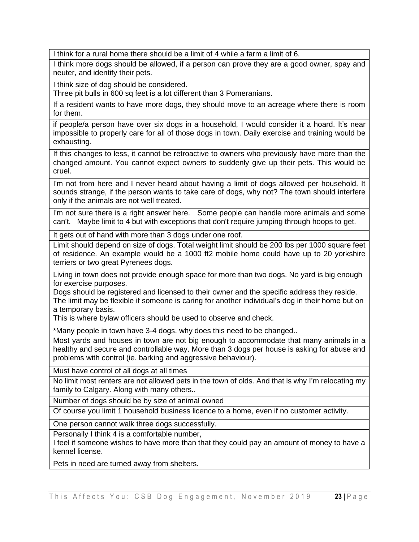I think for a rural home there should be a limit of 4 while a farm a limit of 6.

I think more dogs should be allowed, if a person can prove they are a good owner, spay and neuter, and identify their pets.

I think size of dog should be considered.

Three pit bulls in 600 sq feet is a lot different than 3 Pomeranians.

If a resident wants to have more dogs, they should move to an acreage where there is room for them.

if people/a person have over six dogs in a household, I would consider it a hoard. It's near impossible to properly care for all of those dogs in town. Daily exercise and training would be exhausting.

If this changes to less, it cannot be retroactive to owners who previously have more than the changed amount. You cannot expect owners to suddenly give up their pets. This would be cruel.

I'm not from here and I never heard about having a limit of dogs allowed per household. It sounds strange, if the person wants to take care of dogs, why not? The town should interfere only if the animals are not well treated.

I'm not sure there is a right answer here. Some people can handle more animals and some can't. Maybe limit to 4 but with exceptions that don't require jumping through hoops to get.

It gets out of hand with more than 3 dogs under one roof.

Limit should depend on size of dogs. Total weight limit should be 200 lbs per 1000 square feet of residence. An example would be a 1000 ft2 mobile home could have up to 20 yorkshire terriers or two great Pyrenees dogs.

Living in town does not provide enough space for more than two dogs. No yard is big enough for exercise purposes.

Dogs should be registered and licensed to their owner and the specific address they reside. The limit may be flexible if someone is caring for another individual's dog in their home but on a temporary basis.

This is where bylaw officers should be used to observe and check.

\*Many people in town have 3-4 dogs, why does this need to be changed..

Most yards and houses in town are not big enough to accommodate that many animals in a healthy and secure and controllable way. More than 3 dogs per house is asking for abuse and problems with control (ie. barking and aggressive behaviour).

Must have control of all dogs at all times

No limit most renters are not allowed pets in the town of olds. And that is why I'm relocating my family to Calgary. Along with many others..

Number of dogs should be by size of animal owned

Of course you limit 1 household business licence to a home, even if no customer activity.

One person cannot walk three dogs successfully.

Personally I think 4 is a comfortable number,

I feel if someone wishes to have more than that they could pay an amount of money to have a kennel license.

Pets in need are turned away from shelters.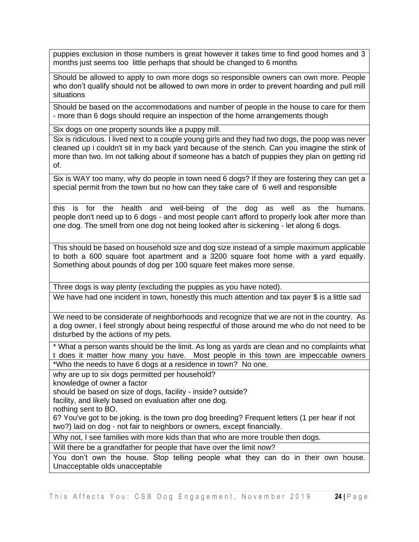puppies exclusion in those numbers is great however it takes time to find good homes and 3 months just seems too little perhaps that should be changed to 6 months

Should be allowed to apply to own more dogs so responsible owners can own more. People who don't qualify should not be allowed to own more in order to prevent hoarding and pull mill situations

Should be based on the accommodations and number of people in the house to care for them - more than 6 dogs should require an inspection of the home arrangements though

Six dogs on one property sounds like a puppy mill.

Six is ridiculous. I lived next to a couple young girls and they had two dogs, the poop was never cleaned up i couldn't sit in my back yard because of the stench. Can you imagine the stink of more than two. Im not talking about if someone has a batch of puppies they plan on getting rid of.

Six is WAY too many, why do people in town need 6 dogs? If they are fostering they can get a special permit from the town but no how can they take care of 6 well and responsible

this is for the health and well-being of the dog as well as the humans. people don't need up to 6 dogs - and most people can't afford to properly look after more than one dog. The smell from one dog not being looked after is sickening - let along 6 dogs.

This should be based on household size and dog size instead of a simple maximum applicable to both a 600 square foot apartment and a 3200 square foot home with a yard equally. Something about pounds of dog per 100 square feet makes more sense.

Three dogs is way plenty (excluding the puppies as you have noted).

We have had one incident in town, honestly this much attention and tax payer \$ is a little sad

We need to be considerate of neighborhoods and recognize that we are not in the country. As a dog owner, I feel strongly about being respectful of those around me who do not need to be disturbed by the actions of my pets.

\* What a person wants should be the limit. As long as yards are clean and no complaints what t does it matter how many you have. Most people in this town are impeccable owners \*Who the needs to have 6 dogs at a residence in town? No one.

why are up to six dogs permitted per household?

knowledge of owner a factor

should be based on size of dogs, facility - inside? outside?

facility, and likely based on evaluation after one dog.

nothing sent to BO.

6? You've got to be joking. is the town pro dog breeding? Frequent letters (1 per hear if not two?) laid on dog - not fair to neighbors or owners, except financially.

Why not, I see families with more kids than that who are more trouble then dogs.

Will there be a grandfather for people that have over the limit now?

You don't own the house. Stop telling people what they can do in their own house. Unacceptable olds unacceptable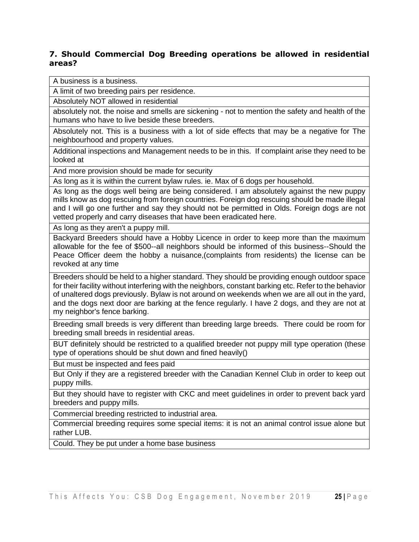#### **7. Should Commercial Dog Breeding operations be allowed in residential areas?**

A business is a business.

A limit of two breeding pairs per residence.

Absolutely NOT allowed in residential

absolutely not. the noise and smells are sickening - not to mention the safety and health of the humans who have to live beside these breeders.

Absolutely not. This is a business with a lot of side effects that may be a negative for The neighbourhood and property values.

Additional inspections and Management needs to be in this. If complaint arise they need to be looked at

And more provision should be made for security

As long as it is within the current bylaw rules. ie. Max of 6 dogs per household.

As long as the dogs well being are being considered. I am absolutely against the new puppy mills know as dog rescuing from foreign countries. Foreign dog rescuing should be made illegal and I will go one further and say they should not be permitted in Olds. Foreign dogs are not vetted properly and carry diseases that have been eradicated here.

As long as they aren't a puppy mill.

Backyard Breeders should have a Hobby Licence in order to keep more than the maximum allowable for the fee of \$500--all neighbors should be informed of this business--Should the Peace Officer deem the hobby a nuisance,(complaints from residents) the license can be revoked at any time

Breeders should be held to a higher standard. They should be providing enough outdoor space for their facility without interfering with the neighbors, constant barking etc. Refer to the behavior of unaltered dogs previously. Bylaw is not around on weekends when we are all out in the yard, and the dogs next door are barking at the fence regularly. I have 2 dogs, and they are not at my neighbor's fence barking.

Breeding small breeds is very different than breeding large breeds. There could be room for breeding small breeds in residential areas.

BUT definitely should be restricted to a qualified breeder not puppy mill type operation (these type of operations should be shut down and fined heavily()

But must be inspected and fees paid

But Only if they are a registered breeder with the Canadian Kennel Club in order to keep out puppy mills.

But they should have to register with CKC and meet guidelines in order to prevent back yard breeders and puppy mills.

Commercial breeding restricted to industrial area.

Commercial breeding requires some special items: it is not an animal control issue alone but rather LUB.

Could. They be put under a home base business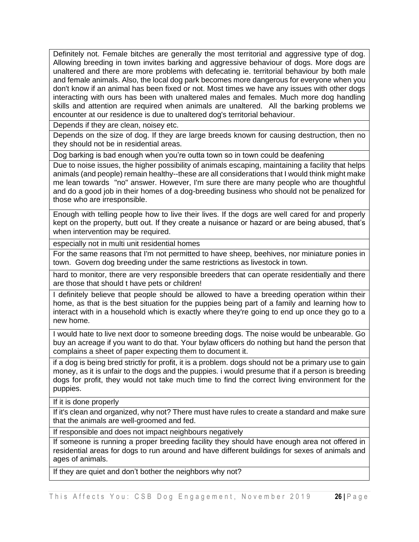Definitely not. Female bitches are generally the most territorial and aggressive type of dog. Allowing breeding in town invites barking and aggressive behaviour of dogs. More dogs are unaltered and there are more problems with defecating ie. territorial behaviour by both male and female animals. Also, the local dog park becomes more dangerous for everyone when you don't know if an animal has been fixed or not. Most times we have any issues with other dogs interacting with ours has been with unaltered males and females. Much more dog handling skills and attention are required when animals are unaltered. All the barking problems we encounter at our residence is due to unaltered dog's territorial behaviour.

Depends if they are clean, noisey etc.

Depends on the size of dog. If they are large breeds known for causing destruction, then no they should not be in residential areas.

Dog barking is bad enough when you're outta town so in town could be deafening

Due to noise issues, the higher possibility of animals escaping, maintaining a facility that helps animals (and people) remain healthy--these are all considerations that I would think might make me lean towards "no" answer. However, I'm sure there are many people who are thoughtful and do a good job in their homes of a dog-breeding business who should not be penalized for those who are irresponsible.

Enough with telling people how to live their lives. If the dogs are well cared for and properly kept on the property, butt out. If they create a nuisance or hazard or are being abused, that's when intervention may be required.

especially not in multi unit residential homes

For the same reasons that I'm not permitted to have sheep, beehives, nor miniature ponies in town. Govern dog breeding under the same restrictions as livestock in town.

hard to monitor, there are very responsible breeders that can operate residentially and there are those that should t have pets or children!

I definitely believe that people should be allowed to have a breeding operation within their home, as that is the best situation for the puppies being part of a family and learning how to interact with in a household which is exactly where they're going to end up once they go to a new home.

I would hate to live next door to someone breeding dogs. The noise would be unbearable. Go buy an acreage if you want to do that. Your bylaw officers do nothing but hand the person that complains a sheet of paper expecting them to document it.

if a dog is being bred strictly for profit, it is a problem. dogs should not be a primary use to gain money, as it is unfair to the dogs and the puppies. i would presume that if a person is breeding dogs for profit, they would not take much time to find the correct living environment for the puppies.

If it is done properly

If it's clean and organized, why not? There must have rules to create a standard and make sure that the animals are well-groomed and fed.

If responsible and does not impact neighbours negatively

If someone is running a proper breeding facility they should have enough area not offered in residential areas for dogs to run around and have different buildings for sexes of animals and ages of animals.

If they are quiet and don't bother the neighbors why not?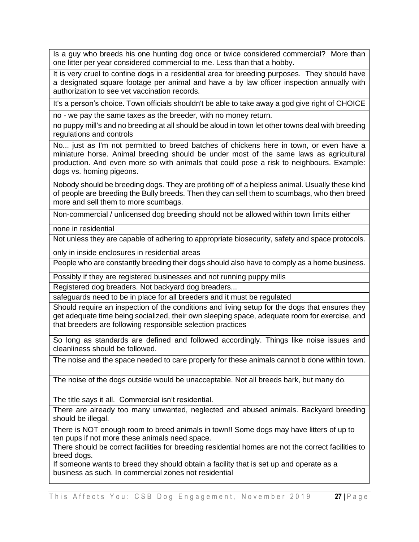Is a guy who breeds his one hunting dog once or twice considered commercial? More than one litter per year considered commercial to me. Less than that a hobby.

It is very cruel to confine dogs in a residential area for breeding purposes. They should have a designated square footage per animal and have a by law officer inspection annually with authorization to see vet vaccination records.

It's a person's choice. Town officials shouldn't be able to take away a god give right of CHOICE

no - we pay the same taxes as the breeder, with no money return.

no puppy mill's and no breeding at all should be aloud in town let other towns deal with breeding regulations and controls

No... just as I'm not permitted to breed batches of chickens here in town, or even have a miniature horse. Animal breeding should be under most of the same laws as agricultural production. And even more so with animals that could pose a risk to neighbours. Example: dogs vs. homing pigeons.

Nobody should be breeding dogs. They are profiting off of a helpless animal. Usually these kind of people are breeding the Bully breeds. Then they can sell them to scumbags, who then breed more and sell them to more scumbags.

Non-commercial / unlicensed dog breeding should not be allowed within town limits either

none in residential

Not unless they are capable of adhering to appropriate biosecurity, safety and space protocols.

only in inside enclosures in residential areas

People who are constantly breeding their dogs should also have to comply as a home business.

Possibly if they are registered businesses and not running puppy mills

Registered dog breaders. Not backyard dog breaders...

safeguards need to be in place for all breeders and it must be regulated

Should require an inspection of the conditions and living setup for the dogs that ensures they get adequate time being socialized, their own sleeping space, adequate room for exercise, and that breeders are following responsible selection practices

So long as standards are defined and followed accordingly. Things like noise issues and cleanliness should be followed.

The noise and the space needed to care properly for these animals cannot b done within town.

The noise of the dogs outside would be unacceptable. Not all breeds bark, but many do.

The title says it all. Commercial isn't residential.

There are already too many unwanted, neglected and abused animals. Backyard breeding should be illegal.

There is NOT enough room to breed animals in town!! Some dogs may have litters of up to ten pups if not more these animals need space.

There should be correct facilities for breeding residential homes are not the correct facilities to breed dogs.

If someone wants to breed they should obtain a facility that is set up and operate as a business as such. In commercial zones not residential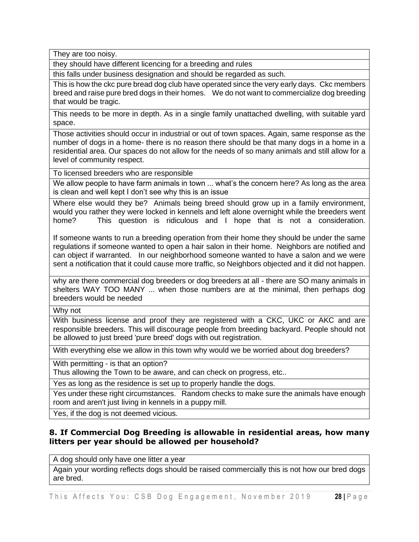They are too noisy.

they should have different licencing for a breeding and rules

this falls under business designation and should be regarded as such.

This is how the ckc pure bread dog club have operated since the very early days. Ckc members breed and raise pure bred dogs in their homes. We do not want to commercialize dog breeding that would be tragic.

This needs to be more in depth. As in a single family unattached dwelling, with suitable yard space.

Those activities should occur in industrial or out of town spaces. Again, same response as the number of dogs in a home- there is no reason there should be that many dogs in a home in a residential area. Our spaces do not allow for the needs of so many animals and still allow for a level of community respect.

To licensed breeders who are responsible

We allow people to have farm animals in town ... what's the concern here? As long as the area is clean and well kept I don't see why this is an issue

Where else would they be? Animals being breed should grow up in a family environment, would you rather they were locked in kennels and left alone overnight while the breeders went home? This question is ridiculous and I hope that is not a consideration.

If someone wants to run a breeding operation from their home they should be under the same regulations if someone wanted to open a hair salon in their home. Neighbors are notified and can object if warranted. In our neighborhood someone wanted to have a salon and we were sent a notification that it could cause more traffic, so Neighbors objected and it did not happen.

why are there commercial dog breeders or dog breeders at all - there are SO many animals in shelters WAY TOO MANY ... when those numbers are at the minimal, then perhaps dog breeders would be needed

Why not

With business license and proof they are registered with a CKC, UKC or AKC and are responsible breeders. This will discourage people from breeding backyard. People should not be allowed to just breed 'pure breed' dogs with out registration.

With everything else we allow in this town why would we be worried about dog breeders?

With permitting - is that an option?

Thus allowing the Town to be aware, and can check on progress, etc..

Yes as long as the residence is set up to properly handle the dogs.

Yes under these right circumstances. Random checks to make sure the animals have enough room and aren't just living in kennels in a puppy mill.

Yes, if the dog is not deemed vicious.

#### **8. If Commercial Dog Breeding is allowable in residential areas, how many litters per year should be allowed per household?**

A dog should only have one litter a year

Again your wording reflects dogs should be raised commercially this is not how our bred dogs are bred.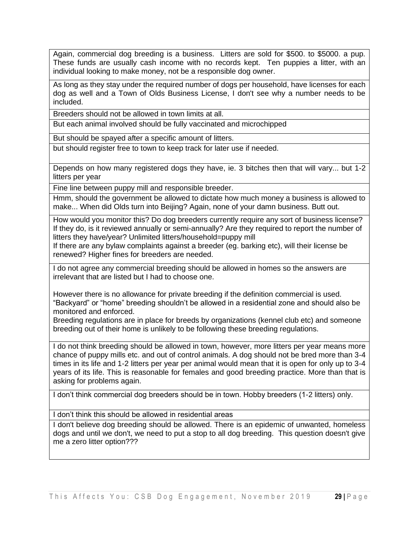Again, commercial dog breeding is a business. Litters are sold for \$500. to \$5000. a pup. These funds are usually cash income with no records kept. Ten puppies a litter, with an individual looking to make money, not be a responsible dog owner.

As long as they stay under the required number of dogs per household, have licenses for each dog as well and a Town of Olds Business License, I don't see why a number needs to be included.

Breeders should not be allowed in town limits at all.

But each animal involved should be fully vaccinated and microchipped

But should be spayed after a specific amount of litters.

but should register free to town to keep track for later use if needed.

Depends on how many registered dogs they have, ie. 3 bitches then that will vary... but 1-2 litters per year

Fine line between puppy mill and responsible breeder.

Hmm, should the government be allowed to dictate how much money a business is allowed to make... When did Olds turn into Beijing? Again, none of your damn business. Butt out.

How would you monitor this? Do dog breeders currently require any sort of business license? If they do, is it reviewed annually or semi-annually? Are they required to report the number of litters they have/year? Unlimited litters/household=puppy mill

If there are any bylaw complaints against a breeder (eg. barking etc), will their license be renewed? Higher fines for breeders are needed.

I do not agree any commercial breeding should be allowed in homes so the answers are irrelevant that are listed but I had to choose one.

However there is no allowance for private breeding if the definition commercial is used. "Backyard" or "home" breeding shouldn't be allowed in a residential zone and should also be monitored and enforced.

Breeding regulations are in place for breeds by organizations (kennel club etc) and someone breeding out of their home is unlikely to be following these breeding regulations.

I do not think breeding should be allowed in town, however, more litters per year means more chance of puppy mills etc. and out of control animals. A dog should not be bred more than 3-4 times in its life and 1-2 litters per year per animal would mean that it is open for only up to 3-4 years of its life. This is reasonable for females and good breeding practice. More than that is asking for problems again.

I don't think commercial dog breeders should be in town. Hobby breeders (1-2 litters) only.

I don't think this should be allowed in residential areas

I don't believe dog breeding should be allowed. There is an epidemic of unwanted, homeless dogs and until we don't, we need to put a stop to all dog breeding. This question doesn't give me a zero litter option???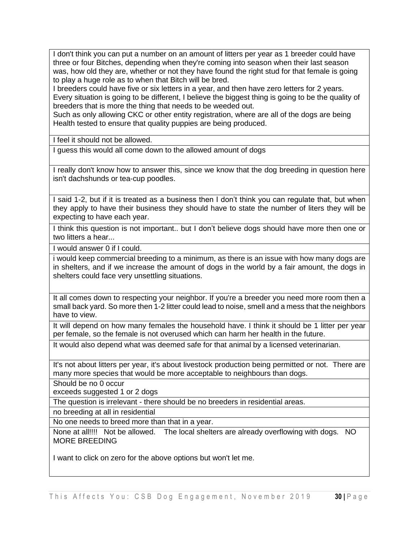I don't think you can put a number on an amount of litters per year as 1 breeder could have three or four Bitches, depending when they're coming into season when their last season was, how old they are, whether or not they have found the right stud for that female is going to play a huge role as to when that Bitch will be bred.

I breeders could have five or six letters in a year, and then have zero letters for 2 years. Every situation is going to be different, I believe the biggest thing is going to be the quality of breeders that is more the thing that needs to be weeded out.

Such as only allowing CKC or other entity registration, where are all of the dogs are being Health tested to ensure that quality puppies are being produced.

I feel it should not be allowed.

I guess this would all come down to the allowed amount of dogs

I really don't know how to answer this, since we know that the dog breeding in question here isn't dachshunds or tea-cup poodles.

I said 1-2, but if it is treated as a business then I don't think you can regulate that, but when they apply to have their business they should have to state the number of liters they will be expecting to have each year.

I think this question is not important.. but I don't believe dogs should have more then one or two litters a hear...

I would answer 0 if I could.

i would keep commercial breeding to a minimum, as there is an issue with how many dogs are in shelters, and if we increase the amount of dogs in the world by a fair amount, the dogs in shelters could face very unsettling situations.

It all comes down to respecting your neighbor. If you're a breeder you need more room then a small back yard. So more then 1-2 litter could lead to noise, smell and a mess that the neighbors have to view.

It will depend on how many females the household have. I think it should be 1 litter per year per female, so the female is not overused which can harm her health in the future.

It would also depend what was deemed safe for that animal by a licensed veterinarian.

It's not about litters per year, it's about livestock production being permitted or not. There are many more species that would be more acceptable to neighbours than dogs.

Should be no 0 occur

exceeds suggested 1 or 2 dogs

The question is irrelevant - there should be no breeders in residential areas.

no breeding at all in residential

No one needs to breed more than that in a year.

None at all!!!! Not be allowed. The local shelters are already overflowing with dogs. NO MORE BREEDING

I want to click on zero for the above options but won't let me.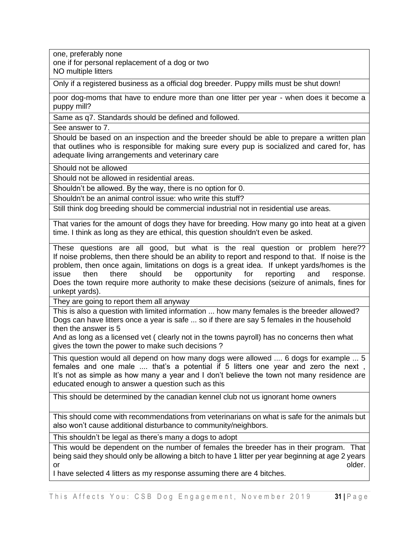one, preferably none

one if for personal replacement of a dog or two NO multiple litters

Only if a registered business as a official dog breeder. Puppy mills must be shut down!

poor dog-moms that have to endure more than one litter per year - when does it become a puppy mill?

Same as q7. Standards should be defined and followed.

See answer to 7.

Should be based on an inspection and the breeder should be able to prepare a written plan that outlines who is responsible for making sure every pup is socialized and cared for, has adequate living arrangements and veterinary care

Should not be allowed

Should not be allowed in residential areas.

Shouldn't be allowed. By the way, there is no option for 0.

Shouldn't be an animal control issue: who write this stuff?

Still think dog breeding should be commercial industrial not in residential use areas.

That varies for the amount of dogs they have for breeding. How many go into heat at a given time. I think as long as they are ethical, this question shouldn't even be asked.

These questions are all good, but what is the real question or problem here?? If noise problems, then there should be an ability to report and respond to that. If noise is the problem, then once again, limitations on dogs is a great idea. If unkept yards/homes is the issue then there should be opportunity for reporting and response. Does the town require more authority to make these decisions (seizure of animals, fines for unkept yards).

They are going to report them all anyway

This is also a question with limited information ... how many females is the breeder allowed? Dogs can have litters once a year is safe ... so if there are say 5 females in the household then the answer is 5

And as long as a licensed vet ( clearly not in the towns payroll) has no concerns then what gives the town the power to make such decisions ?

This question would all depend on how many dogs were allowed .... 6 dogs for example ... 5 females and one male .... that's a potential if 5 litters one year and zero the next , It's not as simple as how many a year and I don't believe the town not many residence are educated enough to answer a question such as this

This should be determined by the canadian kennel club not us ignorant home owners

This should come with recommendations from veterinarians on what is safe for the animals but also won't cause additional disturbance to community/neighbors.

This shouldn't be legal as there's many a dogs to adopt

This would be dependent on the number of females the breeder has in their program. That being said they should only be allowing a bitch to have 1 litter per year beginning at age 2 years or or the contract of the contract of the contract of the contract of the contract of the contract of the contract of the contract of the contract of the contract of the contract of the contract of the contract of the cont

I have selected 4 litters as my response assuming there are 4 bitches.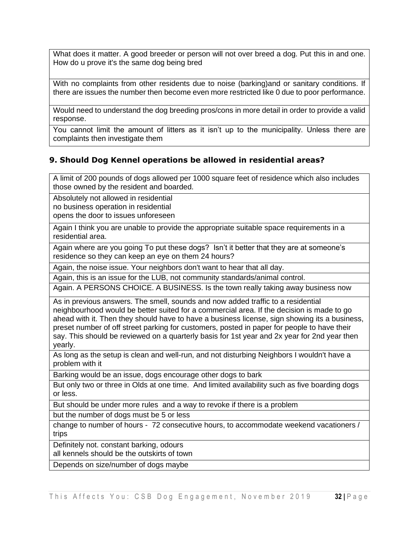What does it matter. A good breeder or person will not over breed a dog. Put this in and one. How do u prove it's the same dog being bred

With no complaints from other residents due to noise (barking)and or sanitary conditions. If there are issues the number then become even more restricted like 0 due to poor performance.

Would need to understand the dog breeding pros/cons in more detail in order to provide a valid response.

You cannot limit the amount of litters as it isn't up to the municipality. Unless there are complaints then investigate them

#### **9. Should Dog Kennel operations be allowed in residential areas?**

A limit of 200 pounds of dogs allowed per 1000 square feet of residence which also includes those owned by the resident and boarded.

Absolutely not allowed in residential no business operation in residential

opens the door to issues unforeseen

Again I think you are unable to provide the appropriate suitable space requirements in a residential area.

Again where are you going To put these dogs? Isn't it better that they are at someone's residence so they can keep an eye on them 24 hours?

Again, the noise issue. Your neighbors don't want to hear that all day.

Again, this is an issue for the LUB, not community standards/animal control.

Again. A PERSONS CHOICE. A BUSINESS. Is the town really taking away business now

As in previous answers. The smell, sounds and now added traffic to a residential neighbourhood would be better suited for a commercial area. If the decision is made to go ahead with it. Then they should have to have a business license, sign showing its a business, preset number of off street parking for customers, posted in paper for people to have their say. This should be reviewed on a quarterly basis for 1st year and 2x year for 2nd year then yearly.

As long as the setup is clean and well-run, and not disturbing Neighbors I wouldn't have a problem with it

Barking would be an issue, dogs encourage other dogs to bark

But only two or three in Olds at one time. And limited availability such as five boarding dogs or less.

But should be under more rules and a way to revoke if there is a problem

but the number of dogs must be 5 or less

change to number of hours - 72 consecutive hours, to accommodate weekend vacationers / trips

Definitely not. constant barking, odours

all kennels should be the outskirts of town

Depends on size/number of dogs maybe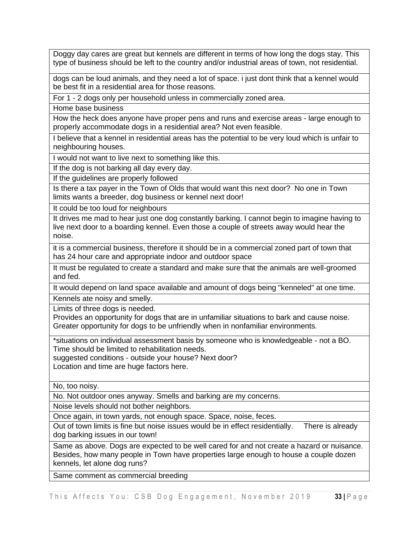Doggy day cares are great but kennels are different in terms of how long the dogs stay. This type of business should be left to the country and/or industrial areas of town, not residential.

dogs can be loud animals, and they need a lot of space. i just dont think that a kennel would be best fit in a residential area for those reasons.

For 1 - 2 dogs only per household unless in commercially zoned area.

Home base business

How the heck does anyone have proper pens and runs and exercise areas - large enough to properly accommodate dogs in a residential area? Not even feasible.

I believe that a kennel in residential areas has the potential to be very loud which is unfair to neighbouring houses.

I would not want to live next to something like this.

If the dog is not barking all day every day.

If the guidelines are properly followed

Is there a tax payer in the Town of Olds that would want this next door? No one in Town limits wants a breeder, dog business or kennel next door!

It could be too loud for neighbours

It drives me mad to hear just one dog constantly barking. I cannot begin to imagine having to live next door to a boarding kennel. Even those a couple of streets away would hear the noise.

it is a commercial business, therefore it should be in a commercial zoned part of town that has 24 hour care and appropriate indoor and outdoor space

It must be regulated to create a standard and make sure that the animals are well-groomed and fed.

It would depend on land space available and amount of dogs being "kenneled" at one time.

Kennels ate noisy and smelly.

Limits of three dogs is needed.

Provides an opportunity for dogs that are in unfamiliar situations to bark and cause noise. Greater opportunity for dogs to be unfriendly when in nonfamiliar environments.

\*situations on individual assessment basis by someone who is knowledgeable - not a BO. Time should be limited to rehabilitation needs.

suggested conditions - outside your house? Next door?

Location and time are huge factors here.

No, too noisy.

No. Not outdoor ones anyway. Smells and barking are my concerns.

Noise levels should not bother neighbors.

Once again, in town yards, not enough space. Space, noise, feces.

Out of town limits is fine but noise issues would be in effect residentially. There is already dog barking issues in our town!

Same as above. Dogs are expected to be well cared for and not create a hazard or nuisance. Besides, how many people in Town have properties large enough to house a couple dozen kennels, let alone dog runs?

Same comment as commercial breeding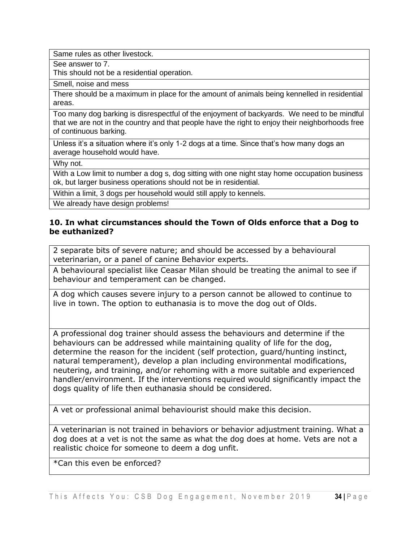Same rules as other livestock.

See answer to 7.

This should not be a residential operation.

Smell, noise and mess

There should be a maximum in place for the amount of animals being kennelled in residential areas.

Too many dog barking is disrespectful of the enjoyment of backyards. We need to be mindful that we are not in the country and that people have the right to enjoy their neighborhoods free of continuous barking.

Unless it's a situation where it's only 1-2 dogs at a time. Since that's how many dogs an average household would have.

Why not.

With a Low limit to number a dog s, dog sitting with one night stay home occupation business ok, but larger business operations should not be in residential.

Within a limit, 3 dogs per household would still apply to kennels.

We already have design problems!

#### **10. In what circumstances should the Town of Olds enforce that a Dog to be euthanized?**

2 separate bits of severe nature; and should be accessed by a behavioural veterinarian, or a panel of canine Behavior experts.

A behavioural specialist like Ceasar Milan should be treating the animal to see if behaviour and temperament can be changed.

A dog which causes severe injury to a person cannot be allowed to continue to live in town. The option to euthanasia is to move the dog out of Olds.

A professional dog trainer should assess the behaviours and determine if the behaviours can be addressed while maintaining quality of life for the dog, determine the reason for the incident (self protection, guard/hunting instinct, natural temperament), develop a plan including environmental modifications, neutering, and training, and/or rehoming with a more suitable and experienced handler/environment. If the interventions required would significantly impact the dogs quality of life then euthanasia should be considered.

A vet or professional animal behaviourist should make this decision.

A veterinarian is not trained in behaviors or behavior adjustment training. What a dog does at a vet is not the same as what the dog does at home. Vets are not a realistic choice for someone to deem a dog unfit.

\*Can this even be enforced?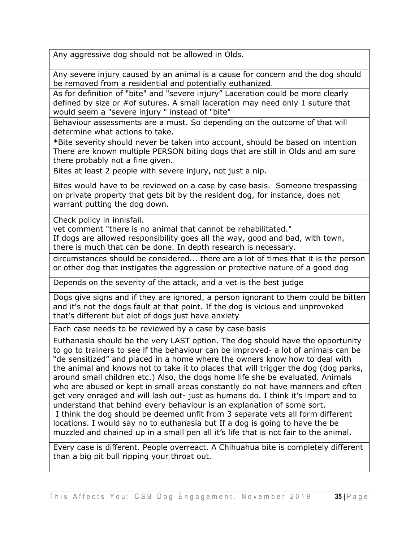Any aggressive dog should not be allowed in Olds.

Any severe injury caused by an animal is a cause for concern and the dog should be removed from a residential and potentially euthanized.

As for definition of "bite" and "severe injury" Laceration could be more clearly defined by size or #of sutures. A small laceration may need only 1 suture that would seem a "severe injury " instead of "bite"

Behaviour assessments are a must. So depending on the outcome of that will determine what actions to take.

\*Bite severity should never be taken into account, should be based on intention There are known multiple PERSON biting dogs that are still in Olds and am sure there probably not a fine given.

Bites at least 2 people with severe injury, not just a nip.

Bites would have to be reviewed on a case by case basis. Someone trespassing on private property that gets bit by the resident dog, for instance, does not warrant putting the dog down.

Check policy in innisfail.

vet comment "there is no animal that cannot be rehabilitated."

If dogs are allowed responsibility goes all the way, good and bad, with town, there is much that can be done. In depth research is necessary.

circumstances should be considered... there are a lot of times that it is the person or other dog that instigates the aggression or protective nature of a good dog

Depends on the severity of the attack, and a vet is the best judge

Dogs give signs and if they are ignored, a person ignorant to them could be bitten and it's not the dogs fault at that point. If the dog is vicious and unprovoked that's different but alot of dogs just have anxiety

Each case needs to be reviewed by a case by case basis

Euthanasia should be the very LAST option. The dog should have the opportunity to go to trainers to see if the behaviour can be improved- a lot of animals can be "de sensitized" and placed in a home where the owners know how to deal with the animal and knows not to take it to places that will trigger the dog (dog parks, around small children etc.) Also, the dogs home life she be evaluated. Animals who are abused or kept in small areas constantly do not have manners and often get very enraged and will lash out- just as humans do. I think it's import and to understand that behind every behaviour is an explanation of some sort. I think the dog should be deemed unfit from 3 separate vets all form different locations. I would say no to euthanasia but If a dog is going to have the be muzzled and chained up in a small pen all it's life that is not fair to the animal.

Every case is different. People overreact. A Chihuahua bite is completely different than a big pit bull ripping your throat out.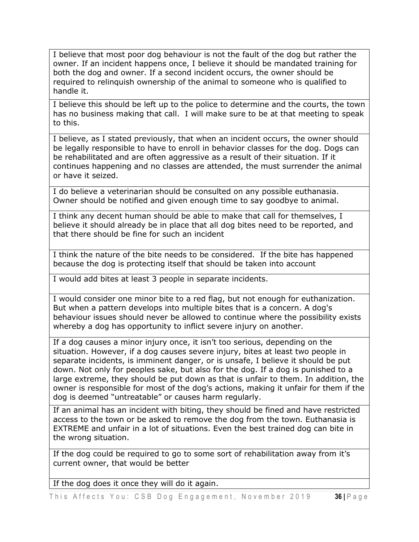I believe that most poor dog behaviour is not the fault of the dog but rather the owner. If an incident happens once, I believe it should be mandated training for both the dog and owner. If a second incident occurs, the owner should be required to relinquish ownership of the animal to someone who is qualified to handle it.

I believe this should be left up to the police to determine and the courts, the town has no business making that call. I will make sure to be at that meeting to speak to this.

I believe, as I stated previously, that when an incident occurs, the owner should be legally responsible to have to enroll in behavior classes for the dog. Dogs can be rehabilitated and are often aggressive as a result of their situation. If it continues happening and no classes are attended, the must surrender the animal or have it seized.

I do believe a veterinarian should be consulted on any possible euthanasia. Owner should be notified and given enough time to say goodbye to animal.

I think any decent human should be able to make that call for themselves, I believe it should already be in place that all dog bites need to be reported, and that there should be fine for such an incident

I think the nature of the bite needs to be considered. If the bite has happened because the dog is protecting itself that should be taken into account

I would add bites at least 3 people in separate incidents.

I would consider one minor bite to a red flag, but not enough for euthanization. But when a pattern develops into multiple bites that is a concern. A dog's behaviour issues should never be allowed to continue where the possibility exists whereby a dog has opportunity to inflict severe injury on another.

If a dog causes a minor injury once, it isn't too serious, depending on the situation. However, if a dog causes severe injury, bites at least two people in separate incidents, is imminent danger, or is unsafe, I believe it should be put down. Not only for peoples sake, but also for the dog. If a dog is punished to a large extreme, they should be put down as that is unfair to them. In addition, the owner is responsible for most of the dog's actions, making it unfair for them if the dog is deemed "untreatable" or causes harm regularly.

If an animal has an incident with biting, they should be fined and have restricted access to the town or be asked to remove the dog from the town. Euthanasia is EXTREME and unfair in a lot of situations. Even the best trained dog can bite in the wrong situation.

If the dog could be required to go to some sort of rehabilitation away from it's current owner, that would be better

If the dog does it once they will do it again.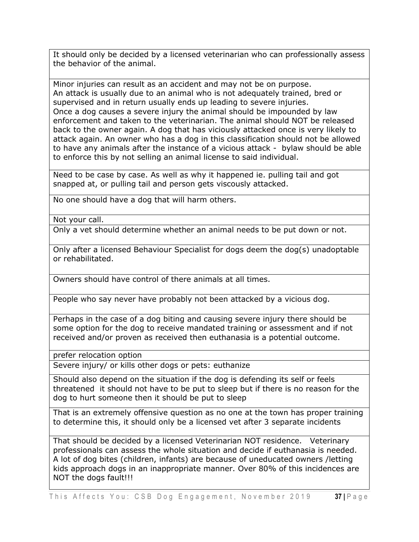It should only be decided by a licensed veterinarian who can professionally assess the behavior of the animal.

Minor injuries can result as an accident and may not be on purpose. An attack is usually due to an animal who is not adequately trained, bred or supervised and in return usually ends up leading to severe injuries. Once a dog causes a severe injury the animal should be impounded by law enforcement and taken to the veterinarian. The animal should NOT be released back to the owner again. A dog that has viciously attacked once is very likely to attack again. An owner who has a dog in this classification should not be allowed to have any animals after the instance of a vicious attack - bylaw should be able to enforce this by not selling an animal license to said individual.

Need to be case by case. As well as why it happened ie. pulling tail and got snapped at, or pulling tail and person gets viscously attacked.

No one should have a dog that will harm others.

Not your call.

Only a vet should determine whether an animal needs to be put down or not.

Only after a licensed Behaviour Specialist for dogs deem the dog(s) unadoptable or rehabilitated.

Owners should have control of there animals at all times.

People who say never have probably not been attacked by a vicious dog.

Perhaps in the case of a dog biting and causing severe injury there should be some option for the dog to receive mandated training or assessment and if not received and/or proven as received then euthanasia is a potential outcome.

prefer relocation option

Severe injury/ or kills other dogs or pets: euthanize

Should also depend on the situation if the dog is defending its self or feels threatened it should not have to be put to sleep but if there is no reason for the dog to hurt someone then it should be put to sleep

That is an extremely offensive question as no one at the town has proper training to determine this, it should only be a licensed vet after 3 separate incidents

That should be decided by a licensed Veterinarian NOT residence. Veterinary professionals can assess the whole situation and decide if euthanasia is needed. A lot of dog bites (children, infants) are because of uneducated owners /letting kids approach dogs in an inappropriate manner. Over 80% of this incidences are NOT the dogs fault!!!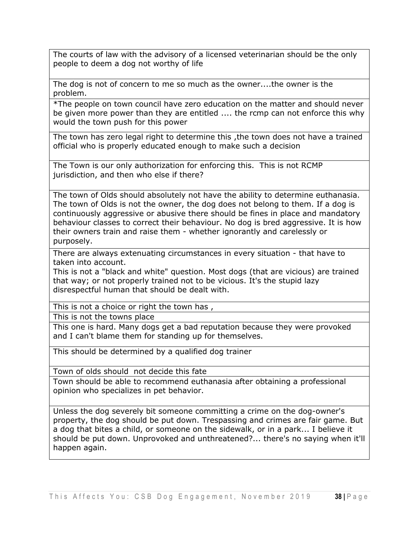The courts of law with the advisory of a licensed veterinarian should be the only people to deem a dog not worthy of life

The dog is not of concern to me so much as the owner....the owner is the problem.

\*The people on town council have zero education on the matter and should never be given more power than they are entitled .... the rcmp can not enforce this why would the town push for this power

The town has zero legal right to determine this ,the town does not have a trained official who is properly educated enough to make such a decision

The Town is our only authorization for enforcing this. This is not RCMP jurisdiction, and then who else if there?

The town of Olds should absolutely not have the ability to determine euthanasia. The town of Olds is not the owner, the dog does not belong to them. If a dog is continuously aggressive or abusive there should be fines in place and mandatory behaviour classes to correct their behaviour. No dog is bred aggressive. It is how their owners train and raise them - whether ignorantly and carelessly or purposely.

There are always extenuating circumstances in every situation - that have to taken into account.

This is not a "black and white" question. Most dogs (that are vicious) are trained that way; or not properly trained not to be vicious. It's the stupid lazy disrespectful human that should be dealt with.

This is not a choice or right the town has ,

This is not the towns place

This one is hard. Many dogs get a bad reputation because they were provoked and I can't blame them for standing up for themselves.

This should be determined by a qualified dog trainer

Town of olds should not decide this fate

Town should be able to recommend euthanasia after obtaining a professional opinion who specializes in pet behavior.

Unless the dog severely bit someone committing a crime on the dog-owner's property, the dog should be put down. Trespassing and crimes are fair game. But a dog that bites a child, or someone on the sidewalk, or in a park... I believe it should be put down. Unprovoked and unthreatened?... there's no saying when it'll happen again.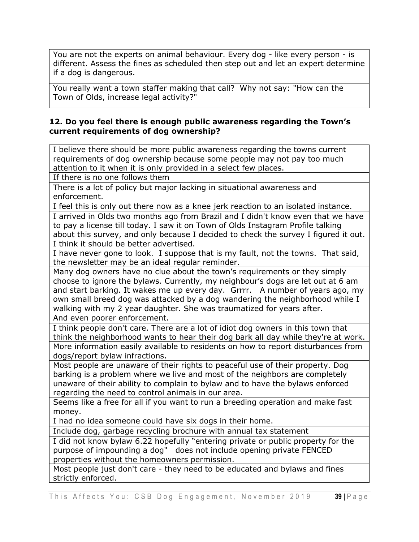You are not the experts on animal behaviour. Every dog - like every person - is different. Assess the fines as scheduled then step out and let an expert determine if a dog is dangerous.

You really want a town staffer making that call? Why not say: "How can the Town of Olds, increase legal activity?"

#### **12. Do you feel there is enough public awareness regarding the Town's current requirements of dog ownership?**

I believe there should be more public awareness regarding the towns current requirements of dog ownership because some people may not pay too much attention to it when it is only provided in a select few places.

If there is no one follows them

There is a lot of policy but major lacking in situational awareness and enforcement.

I feel this is only out there now as a knee jerk reaction to an isolated instance.

I arrived in Olds two months ago from Brazil and I didn't know even that we have to pay a license till today. I saw it on Town of Olds Instagram Profile talking about this survey, and only because I decided to check the survey I figured it out. I think it should be better advertised.

I have never gone to look. I suppose that is my fault, not the towns. That said, the newsletter may be an ideal regular reminder.

Many dog owners have no clue about the town's requirements or they simply choose to ignore the bylaws. Currently, my neighbour's dogs are let out at 6 am and start barking. It wakes me up every day. Grrrr. A number of years ago, my own small breed dog was attacked by a dog wandering the neighborhood while I walking with my 2 year daughter. She was traumatized for years after.

And even poorer enforcement.

I think people don't care. There are a lot of idiot dog owners in this town that think the neighborhood wants to hear their dog bark all day while they're at work.

More information easily available to residents on how to report disturbances from dogs/report bylaw infractions.

Most people are unaware of their rights to peaceful use of their property. Dog barking is a problem where we live and most of the neighbors are completely unaware of their ability to complain to bylaw and to have the bylaws enforced regarding the need to control animals in our area.

Seems like a free for all if you want to run a breeding operation and make fast money.

I had no idea someone could have six dogs in their home.

Include dog, garbage recycling brochure with annual tax statement

I did not know bylaw 6.22 hopefully "entering private or public property for the purpose of impounding a dog" does not include opening private FENCED properties without the homeowners permission.

Most people just don't care - they need to be educated and bylaws and fines strictly enforced.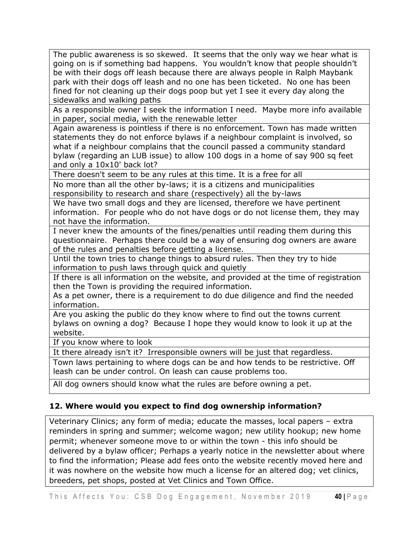The public awareness is so skewed. It seems that the only way we hear what is going on is if something bad happens. You wouldn't know that people shouldn't be with their dogs off leash because there are always people in Ralph Maybank park with their dogs off leash and no one has been ticketed. No one has been fined for not cleaning up their dogs poop but yet I see it every day along the sidewalks and walking paths

As a responsible owner I seek the information I need. Maybe more info available in paper, social media, with the renewable letter

Again awareness is pointless if there is no enforcement. Town has made written statements they do not enforce bylaws if a neighbour complaint is involved, so what if a neighbour complains that the council passed a community standard bylaw (regarding an LUB issue) to allow 100 dogs in a home of say 900 sq feet and only a 10x10' back lot?

There doesn't seem to be any rules at this time. It is a free for all

No more than all the other by-laws; it is a citizens and municipalities responsibility to research and share (respectively) all the by-laws

We have two small dogs and they are licensed, therefore we have pertinent information. For people who do not have dogs or do not license them, they may not have the information.

I never knew the amounts of the fines/penalties until reading them during this questionnaire. Perhaps there could be a way of ensuring dog owners are aware of the rules and penalties before getting a license.

Until the town tries to change things to absurd rules. Then they try to hide information to push laws through quick and quietly

If there is all information on the website, and provided at the time of registration then the Town is providing the required information.

As a pet owner, there is a requirement to do due diligence and find the needed information.

Are you asking the public do they know where to find out the towns current bylaws on owning a dog? Because I hope they would know to look it up at the website.

If you know where to look

It there already isn't it? Irresponsible owners will be just that regardless.

Town laws pertaining to where dogs can be and how tends to be restrictive. Off leash can be under control. On leash can cause problems too.

All dog owners should know what the rules are before owning a pet.

### **12. Where would you expect to find dog ownership information?**

Veterinary Clinics; any form of media; educate the masses, local papers – extra reminders in spring and summer; welcome wagon; new utility hookup; new home permit; whenever someone move to or within the town - this info should be delivered by a bylaw officer; Perhaps a yearly notice in the newsletter about where to find the information; Please add fees onto the website recently moved here and it was nowhere on the website how much a license for an altered dog; vet clinics, breeders, pet shops, posted at Vet Clinics and Town Office.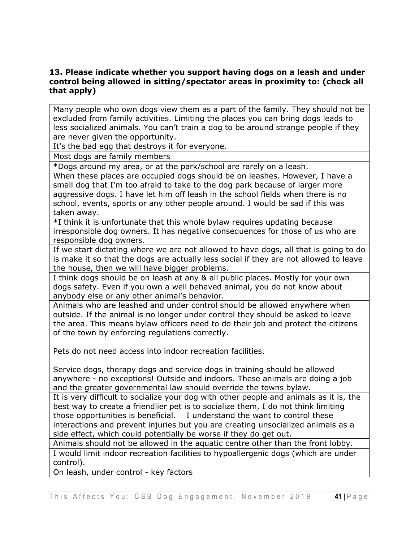#### **13. Please indicate whether you support having dogs on a leash and under control being allowed in sitting/spectator areas in proximity to: (check all that apply)**

Many people who own dogs view them as a part of the family. They should not be excluded from family activities. Limiting the places you can bring dogs leads to less socialized animals. You can't train a dog to be around strange people if they are never given the opportunity.

It's the bad egg that destroys it for everyone.

Most dogs are family members

\*Dogs around my area, or at the park/school are rarely on a leash.

When these places are occupied dogs should be on leashes. However, I have a small dog that I'm too afraid to take to the dog park because of larger more aggressive dogs. I have let him off leash in the school fields when there is no school, events, sports or any other people around. I would be sad if this was taken away.

\*I think it is unfortunate that this whole bylaw requires updating because irresponsible dog owners. It has negative consequences for those of us who are responsible dog owners.

If we start dictating where we are not allowed to have dogs, all that is going to do is make it so that the dogs are actually less social if they are not allowed to leave the house, then we will have bigger problems.

I think dogs should be on leash at any & all public places. Mostly for your own dogs safety. Even if you own a well behaved animal, you do not know about anybody else or any other animal's behavior.

Animals who are leashed and under control should be allowed anywhere when outside. If the animal is no longer under control they should be asked to leave the area. This means bylaw officers need to do their job and protect the citizens of the town by enforcing regulations correctly.

Pets do not need access into indoor recreation facilities.

Service dogs, therapy dogs and service dogs in training should be allowed anywhere - no exceptions! Outside and indoors. These animals are doing a job and the greater governmental law should override the towns bylaw.

It is very difficult to socialize your dog with other people and animals as it is, the best way to create a friendlier pet is to socialize them, I do not think limiting those opportunities is beneficial. I understand the want to control these interactions and prevent injuries but you are creating unsocialized animals as a side effect, which could potentially be worse if they do get out.

Animals should not be allowed in the aquatic centre other than the front lobby. I would limit indoor recreation facilities to hypoallergenic dogs (which are under control).

On leash, under control - key factors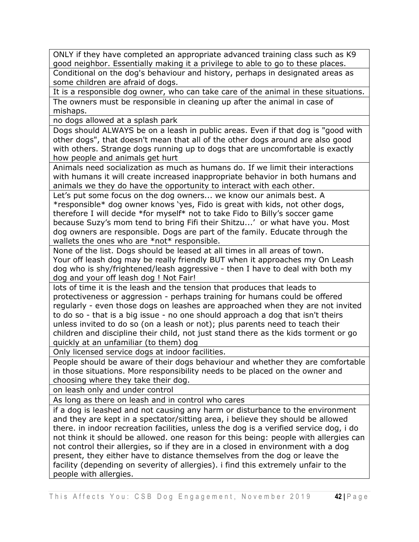ONLY if they have completed an appropriate advanced training class such as K9 good neighbor. Essentially making it a privilege to able to go to these places. Conditional on the dog's behaviour and history, perhaps in designated areas as some children are afraid of dogs.

It is a responsible dog owner, who can take care of the animal in these situations. The owners must be responsible in cleaning up after the animal in case of mishaps.

no dogs allowed at a splash park

Dogs should ALWAYS be on a leash in public areas. Even if that dog is "good with other dogs", that doesn't mean that all of the other dogs around are also good with others. Strange dogs running up to dogs that are uncomfortable is exactly how people and animals get hurt

Animals need socialization as much as humans do. If we limit their interactions with humans it will create increased inappropriate behavior in both humans and animals we they do have the opportunity to interact with each other.

Let's put some focus on the dog owners... we know our animals best. A \*responsible\* dog owner knows 'yes, Fido is great with kids, not other dogs, therefore I will decide \*for myself\* not to take Fido to Billy's soccer game because Suzy's mom tend to bring Fifi their Shitzu...' or what have you. Most dog owners are responsible. Dogs are part of the family. Educate through the wallets the ones who are \*not\* responsible.

None of the list. Dogs should be leased at all times in all areas of town. Your off leash dog may be really friendly BUT when it approaches my On Leash dog who is shy/frightened/leash aggressive - then I have to deal with both my dog and your off leash dog ! Not Fair!

lots of time it is the leash and the tension that produces that leads to protectiveness or aggression - perhaps training for humans could be offered regularly - even those dogs on leashes are approached when they are not invited to do so - that is a big issue - no one should approach a dog that isn't theirs unless invited to do so (on a leash or not); plus parents need to teach their children and discipline their child, not just stand there as the kids torment or go quickly at an unfamiliar (to them) dog

Only licensed service dogs at indoor facilities.

People should be aware of their dogs behaviour and whether they are comfortable in those situations. More responsibility needs to be placed on the owner and choosing where they take their dog.

on leash only and under control

As long as there on leash and in control who cares

if a dog is leashed and not causing any harm or disturbance to the environment and they are kept in a spectator/sitting area, i believe they should be allowed there. in indoor recreation facilities, unless the dog is a verified service dog, i do not think it should be allowed. one reason for this being: people with allergies can not control their allergies, so if they are in a closed in environment with a dog present, they either have to distance themselves from the dog or leave the facility (depending on severity of allergies). i find this extremely unfair to the people with allergies.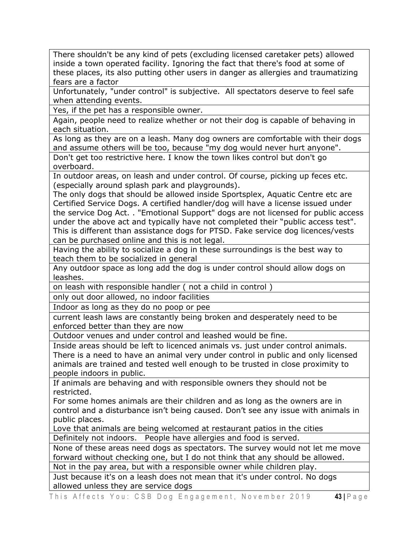There shouldn't be any kind of pets (excluding licensed caretaker pets) allowed inside a town operated facility. Ignoring the fact that there's food at some of these places, its also putting other users in danger as allergies and traumatizing fears are a factor

Unfortunately, "under control" is subjective. All spectators deserve to feel safe when attending events.

Yes, if the pet has a responsible owner.

Again, people need to realize whether or not their dog is capable of behaving in each situation.

As long as they are on a leash. Many dog owners are comfortable with their dogs and assume others will be too, because "my dog would never hurt anyone".

Don't get too restrictive here. I know the town likes control but don't go overboard.

In outdoor areas, on leash and under control. Of course, picking up feces etc. (especially around splash park and playgrounds).

The only dogs that should be allowed inside Sportsplex, Aquatic Centre etc are Certified Service Dogs. A certified handler/dog will have a license issued under the service Dog Act. . "Emotional Support" dogs are not licensed for public access under the above act and typically have not completed their "public access test". This is different than assistance dogs for PTSD. Fake service dog licences/vests can be purchased online and this is not legal.

Having the ability to socialize a dog in these surroundings is the best way to teach them to be socialized in general

Any outdoor space as long add the dog is under control should allow dogs on leashes.

on leash with responsible handler ( not a child in control )

only out door allowed, no indoor facilities

Indoor as long as they do no poop or pee

current leash laws are constantly being broken and desperately need to be enforced better than they are now

Outdoor venues and under control and leashed would be fine.

Inside areas should be left to licenced animals vs. just under control animals. There is a need to have an animal very under control in public and only licensed animals are trained and tested well enough to be trusted in close proximity to people indoors in public.

If animals are behaving and with responsible owners they should not be restricted.

For some homes animals are their children and as long as the owners are in control and a disturbance isn't being caused. Don't see any issue with animals in public places.

Love that animals are being welcomed at restaurant patios in the cities Definitely not indoors. People have allergies and food is served.

None of these areas need dogs as spectators. The survey would not let me move forward without checking one, but I do not think that any should be allowed.

Not in the pay area, but with a responsible owner while children play.

Just because it's on a leash does not mean that it's under control. No dogs allowed unless they are service dogs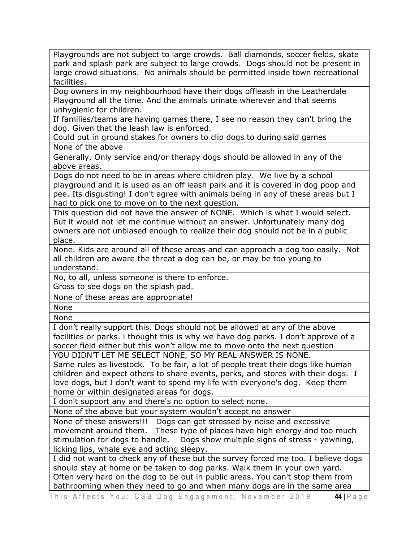Playgrounds are not subject to large crowds. Ball diamonds, soccer fields, skate park and splash park are subject to large crowds. Dogs should not be present in large crowd situations. No animals should be permitted inside town recreational facilities.

Dog owners in my neighbourhood have their dogs offleash in the Leatherdale Playground all the time. And the animals urinate wherever and that seems unhygienic for children.

If families/teams are having games there, I see no reason they can't bring the dog. Given that the leash law is enforced.

Could put in ground stakes for owners to clip dogs to during said games None of the above

Generally, Only service and/or therapy dogs should be allowed in any of the above areas.

Dogs do not need to be in areas where children play. We live by a school playground and it is used as an off leash park and it is covered in dog poop and pee. Its disgusting! I don't agree with animals being in any of these areas but I had to pick one to move on to the next question.

This question did not have the answer of NONE. Which is what I would select. But it would not let me continue without an answer. Unfortunately many dog owners are not unbiased enough to realize their dog should not be in a public place.

None. Kids are around all of these areas and can approach a dog too easily. Not all children are aware the threat a dog can be, or may be too young to understand.

No, to all, unless someone is there to enforce.

Gross to see dogs on the splash pad.

None of these areas are appropriate!

None

None

I don't really support this. Dogs should not be allowed at any of the above facilities or parks. i thought this is why we have dog parks. I don't approve of a soccer field either but this won't allow me to move onto the next question

YOU DIDN'T LET ME SELECT NONE, SO MY REAL ANSWER IS NONE.

Same rules as livestock. To be fair, a lot of people treat their dogs like human children and expect others to share events, parks, and stores with their dogs. I love dogs, but I don't want to spend my life with everyone's dog. Keep them home or within designated areas for dogs.

I don't support any and there's no option to select none.

None of the above but your system wouldn't accept no answer

None of these answers!!! Dogs can get stressed by noise and excessive movement around them. These type of places have high energy and too much stimulation for dogs to handle. Dogs show multiple signs of stress - yawning, licking lips, whale eye and acting sleepy.

I did not want to check any of these but the survey forced me too. I believe dogs should stay at home or be taken to dog parks. Walk them in your own yard. Often very hard on the dog to be out in public areas. You can't stop them from bathrooming when they need to go and when many dogs are in the same area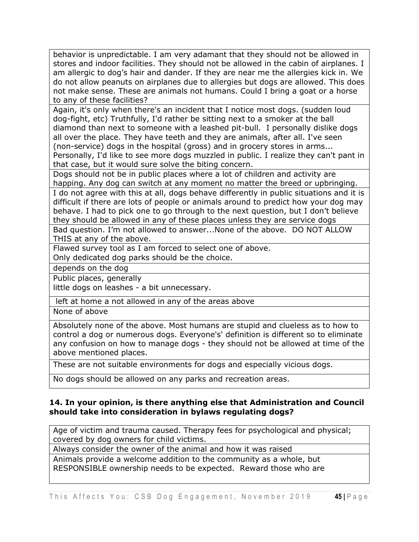behavior is unpredictable. I am very adamant that they should not be allowed in stores and indoor facilities. They should not be allowed in the cabin of airplanes. I am allergic to dog's hair and dander. If they are near me the allergies kick in. We do not allow peanuts on airplanes due to allergies but dogs are allowed. This does not make sense. These are animals not humans. Could I bring a goat or a horse to any of these facilities?

Again, it's only when there's an incident that I notice most dogs. (sudden loud dog-fight, etc) Truthfully, I'd rather be sitting next to a smoker at the ball diamond than next to someone with a leashed pit-bull. I personally dislike dogs all over the place. They have teeth and they are animals, after all. I've seen (non-service) dogs in the hospital (gross) and in grocery stores in arms... Personally, I'd like to see more dogs muzzled in public. I realize they can't pant in that case, but it would sure solve the biting concern.

Dogs should not be in public places where a lot of children and activity are happing. Any dog can switch at any moment no matter the breed or upbringing.

I do not agree with this at all, dogs behave differently in public situations and it is difficult if there are lots of people or animals around to predict how your dog may behave. I had to pick one to go through to the next question, but I don't believe they should be allowed in any of these places unless they are service dogs

Bad question. I'm not allowed to answer...None of the above. DO NOT ALLOW THIS at any of the above.

Flawed survey tool as I am forced to select one of above.

Only dedicated dog parks should be the choice.

depends on the dog

Public places, generally

little dogs on leashes - a bit unnecessary.

left at home a not allowed in any of the areas above

None of above

Absolutely none of the above. Most humans are stupid and clueless as to how to control a dog or numerous dogs. Everyone's' definition is different so to eliminate any confusion on how to manage dogs - they should not be allowed at time of the above mentioned places.

These are not suitable environments for dogs and especially vicious dogs.

No dogs should be allowed on any parks and recreation areas.

#### **14. In your opinion, is there anything else that Administration and Council should take into consideration in bylaws regulating dogs?**

Age of victim and trauma caused. Therapy fees for psychological and physical; covered by dog owners for child victims.

Always consider the owner of the animal and how it was raised

Animals provide a welcome addition to the community as a whole, but RESPONSIBLE ownership needs to be expected. Reward those who are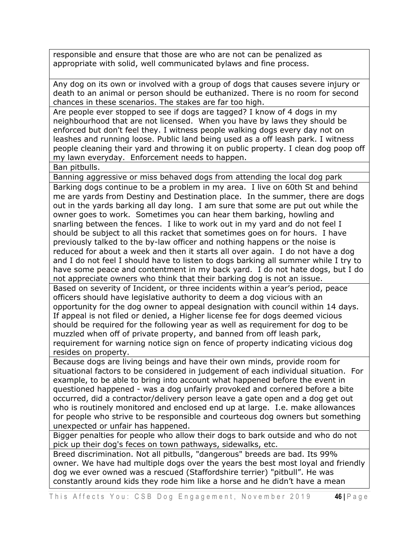responsible and ensure that those are who are not can be penalized as appropriate with solid, well communicated bylaws and fine process.

Any dog on its own or involved with a group of dogs that causes severe injury or death to an animal or person should be euthanized. There is no room for second chances in these scenarios. The stakes are far too high.

Are people ever stopped to see if dogs are tagged? I know of 4 dogs in my neighbourhood that are not licensed. When you have by laws they should be enforced but don't feel they. I witness people walking dogs every day not on leashes and running loose. Public land being used as a off leash park. I witness people cleaning their yard and throwing it on public property. I clean dog poop off my lawn everyday. Enforcement needs to happen.

Ban pitbulls.

Banning aggressive or miss behaved dogs from attending the local dog park

Barking dogs continue to be a problem in my area. I live on 60th St and behind me are yards from Destiny and Destination place. In the summer, there are dogs out in the yards barking all day long. I am sure that some are put out while the owner goes to work. Sometimes you can hear them barking, howling and snarling between the fences. I like to work out in my yard and do not feel I should be subject to all this racket that sometimes goes on for hours. I have previously talked to the by-law officer and nothing happens or the noise is reduced for about a week and then it starts all over again. I do not have a dog and I do not feel I should have to listen to dogs barking all summer while I try to have some peace and contentment in my back yard. I do not hate dogs, but I do not appreciate owners who think that their barking dog is not an issue.

Based on severity of Incident, or three incidents within a year's period, peace officers should have legislative authority to deem a dog vicious with an opportunity for the dog owner to appeal designation with council within 14 days. If appeal is not filed or denied, a Higher license fee for dogs deemed vicious should be required for the following year as well as requirement for dog to be muzzled when off of private property, and banned from off leash park, requirement for warning notice sign on fence of property indicating vicious dog resides on property.

Because dogs are living beings and have their own minds, provide room for situational factors to be considered in judgement of each individual situation. For example, to be able to bring into account what happened before the event in questioned happened - was a dog unfairly provoked and cornered before a bite occurred, did a contractor/delivery person leave a gate open and a dog get out who is routinely monitored and enclosed end up at large. I.e. make allowances for people who strive to be responsible and courteous dog owners but something unexpected or unfair has happened.

Bigger penalties for people who allow their dogs to bark outside and who do not pick up their dog's feces on town pathways, sidewalks, etc.

Breed discrimination. Not all pitbulls, "dangerous" breeds are bad. Its 99% owner. We have had multiple dogs over the years the best most loyal and friendly dog we ever owned was a rescued (Staffordshire terrier) "pitbull". He was constantly around kids they rode him like a horse and he didn't have a mean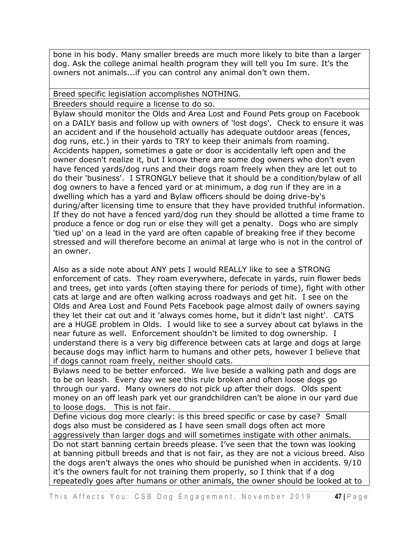bone in his body. Many smaller breeds are much more likely to bite than a larger dog. Ask the college animal health program they will tell you Im sure. It's the owners not animals...if you can control any animal don't own them.

Breed specific legislation accomplishes NOTHING.

Breeders should require a license to do so.

Bylaw should monitor the Olds and Area Lost and Found Pets group on Facebook on a DAILY basis and follow up with owners of 'lost dogs'. Check to ensure it was an accident and if the household actually has adequate outdoor areas (fences, dog runs, etc.) in their yards to TRY to keep their animals from roaming. Accidents happen, sometimes a gate or door is accidentally left open and the owner doesn't realize it, but I know there are some dog owners who don't even have fenced yards/dog runs and their dogs roam freely when they are let out to do their 'business'. I STRONGLY believe that it should be a condition/bylaw of all dog owners to have a fenced yard or at minimum, a dog run if they are in a dwelling which has a yard and Bylaw officers should be doing drive-by's during/after licensing time to ensure that they have provided truthful information. If they do not have a fenced yard/dog run they should be allotted a time frame to produce a fence or dog run or else they will get a penalty. Dogs who are simply 'tied up' on a lead in the yard are often capable of breaking free if they become stressed and will therefore become an animal at large who is not in the control of an owner.

Also as a side note about ANY pets I would REALLY like to see a STRONG enforcement of cats. They roam everywhere, defecate in yards, ruin flower beds and trees, get into yards (often staying there for periods of time), fight with other cats at large and are often walking across roadways and get hit. I see on the Olds and Area Lost and Found Pets Facebook page almost daily of owners saying they let their cat out and it 'always comes home, but it didn't last night'. CATS are a HUGE problem in Olds. I would like to see a survey about cat bylaws in the near future as well. Enforcement shouldn't be limited to dog ownership. I understand there is a very big difference between cats at large and dogs at large because dogs may inflict harm to humans and other pets, however I believe that if dogs cannot roam freely, neither should cats.

Bylaws need to be better enforced. We live beside a walking path and dogs are to be on leash. Every day we see this rule broken and often loose dogs go through our yard. Many owners do not pick up after their dogs. Olds spent money on an off leash park yet our grandchildren can't be alone in our yard due to loose dogs. This is not fair.

Define vicious dog more clearly: is this breed specific or case by case? Small dogs also must be considered as I have seen small dogs often act more aggressively than larger dogs and will sometimes instigate with other animals.

Do not start banning certain breeds please. I've seen that the town was looking at banning pitbull breeds and that is not fair, as they are not a vicious breed. Also the dogs aren't always the ones who should be punished when in accidents. 9/10 it's the owners fault for not training them properly, so I think that if a dog repeatedly goes after humans or other animals, the owner should be looked at to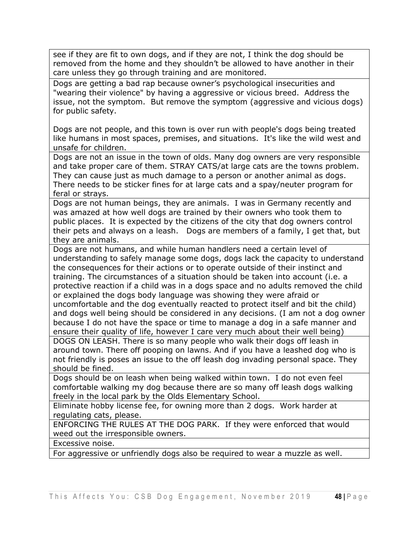see if they are fit to own dogs, and if they are not, I think the dog should be removed from the home and they shouldn't be allowed to have another in their care unless they go through training and are monitored.

Dogs are getting a bad rap because owner's psychological insecurities and "wearing their violence" by having a aggressive or vicious breed. Address the issue, not the symptom. But remove the symptom (aggressive and vicious dogs) for public safety.

Dogs are not people, and this town is over run with people's dogs being treated like humans in most spaces, premises, and situations. It's like the wild west and unsafe for children.

Dogs are not an issue in the town of olds. Many dog owners are very responsible and take proper care of them. STRAY CATS/at large cats are the towns problem. They can cause just as much damage to a person or another animal as dogs. There needs to be sticker fines for at large cats and a spay/neuter program for feral or strays.

Dogs are not human beings, they are animals. I was in Germany recently and was amazed at how well dogs are trained by their owners who took them to public places. It is expected by the citizens of the city that dog owners control their pets and always on a leash. Dogs are members of a family, I get that, but they are animals.

Dogs are not humans, and while human handlers need a certain level of understanding to safely manage some dogs, dogs lack the capacity to understand the consequences for their actions or to operate outside of their instinct and training. The circumstances of a situation should be taken into account (i.e. a protective reaction if a child was in a dogs space and no adults removed the child or explained the dogs body language was showing they were afraid or uncomfortable and the dog eventually reacted to protect itself and bit the child) and dogs well being should be considered in any decisions. (I am not a dog owner because I do not have the space or time to manage a dog in a safe manner and ensure their quality of life, however I care very much about their well being)

DOGS ON LEASH. There is so many people who walk their dogs off leash in around town. There off pooping on lawns. And if you have a leashed dog who is not friendly is poses an issue to the off leash dog invading personal space. They should be fined.

Dogs should be on leash when being walked within town. I do not even feel comfortable walking my dog because there are so many off leash dogs walking freely in the local park by the Olds Elementary School.

Eliminate hobby license fee, for owning more than 2 dogs. Work harder at regulating cats, please.

ENFORCING THE RULES AT THE DOG PARK. If they were enforced that would weed out the irresponsible owners.

Excessive noise.

For aggressive or unfriendly dogs also be required to wear a muzzle as well.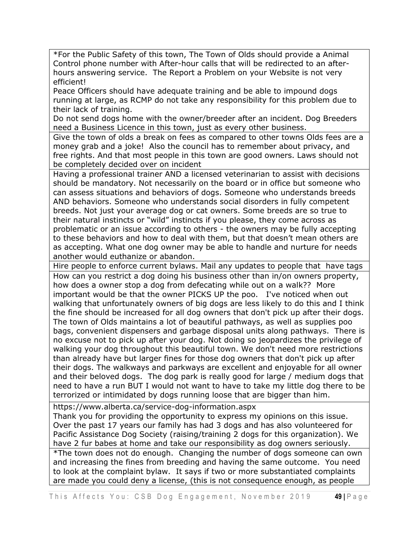\*For the Public Safety of this town, The Town of Olds should provide a Animal Control phone number with After-hour calls that will be redirected to an afterhours answering service. The Report a Problem on your Website is not very efficient!

Peace Officers should have adequate training and be able to impound dogs running at large, as RCMP do not take any responsibility for this problem due to their lack of training.

Do not send dogs home with the owner/breeder after an incident. Dog Breeders need a Business Licence in this town, just as every other business.

Give the town of olds a break on fees as compared to other towns Olds fees are a money grab and a joke! Also the council has to remember about privacy, and free rights. And that most people in this town are good owners. Laws should not be completely decided over on incident

Having a professional trainer AND a licensed veterinarian to assist with decisions should be mandatory. Not necessarily on the board or in office but someone who can assess situations and behaviors of dogs. Someone who understands breeds AND behaviors. Someone who understands social disorders in fully competent breeds. Not just your average dog or cat owners. Some breeds are so true to their natural instincts or "wild" instincts if you please, they come across as problematic or an issue according to others - the owners may be fully accepting to these behaviors and how to deal with them, but that doesn't mean others are as accepting. What one dog owner may be able to handle and nurture for needs another would euthanize or abandon.

Hire people to enforce current bylaws. Mail any updates to people that have tags

How can you restrict a dog doing his business other than in/on owners property, how does a owner stop a dog from defecating while out on a walk?? More important would be that the owner PICKS UP the poo. I've noticed when out walking that unfortunately owners of big dogs are less likely to do this and I think the fine should be increased for all dog owners that don't pick up after their dogs. The town of Olds maintains a lot of beautiful pathways, as well as supplies poo bags, convenient dispensers and garbage disposal units along pathways. There is no excuse not to pick up after your dog. Not doing so jeopardizes the privilege of walking your dog throughout this beautiful town. We don't need more restrictions than already have but larger fines for those dog owners that don't pick up after their dogs. The walkways and parkways are excellent and enjoyable for all owner and their beloved dogs. The dog park is really good for large / medium dogs that need to have a run BUT I would not want to have to take my little dog there to be terrorized or intimidated by dogs running loose that are bigger than him.

https://www.alberta.ca/service-dog-information.aspx

Thank you for providing the opportunity to express my opinions on this issue. Over the past 17 years our family has had 3 dogs and has also volunteered for Pacific Assistance Dog Society (raising/training 2 dogs for this organization). We have 2 fur babes at home and take our responsibility as dog owners seriously.

\*The town does not do enough. Changing the number of dogs someone can own and increasing the fines from breeding and having the same outcome. You need to look at the complaint bylaw. It says if two or more substantiated complaints are made you could deny a license, (this is not consequence enough, as people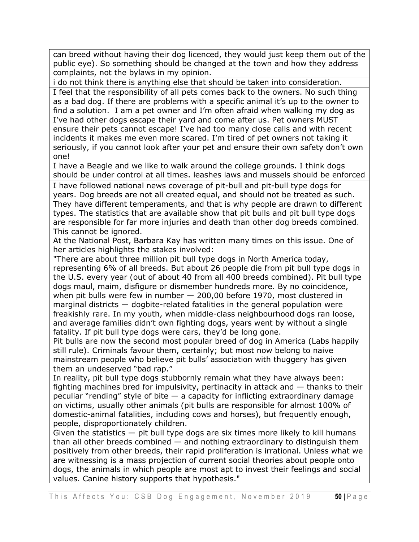can breed without having their dog licenced, they would just keep them out of the public eye). So something should be changed at the town and how they address complaints, not the bylaws in my opinion.

i do not think there is anything else that should be taken into consideration. I feel that the responsibility of all pets comes back to the owners. No such thing as a bad dog. If there are problems with a specific animal it's up to the owner to find a solution. I am a pet owner and I'm often afraid when walking my dog as I've had other dogs escape their yard and come after us. Pet owners MUST ensure their pets cannot escape! I've had too many close calls and with recent incidents it makes me even more scared. I'm tired of pet owners not taking it seriously, if you cannot look after your pet and ensure their own safety don't own one!

I have a Beagle and we like to walk around the college grounds. I think dogs should be under control at all times. leashes laws and mussels should be enforced

I have followed national news coverage of pit-bull and pit-bull type dogs for years. Dog breeds are not all created equal, and should not be treated as such. They have different temperaments, and that is why people are drawn to different types. The statistics that are available show that pit bulls and pit bull type dogs are responsible for far more injuries and death than other dog breeds combined. This cannot be ignored.

At the National Post, Barbara Kay has written many times on this issue. One of her articles highlights the stakes involved:

"There are about three million pit bull type dogs in North America today, representing 6% of all breeds. But about 26 people die from pit bull type dogs in the U.S. every year (out of about 40 from all 400 breeds combined). Pit bull type dogs maul, maim, disfigure or dismember hundreds more. By no coincidence, when pit bulls were few in number — 200,00 before 1970, most clustered in marginal districts — dogbite-related fatalities in the general population were freakishly rare. In my youth, when middle-class neighbourhood dogs ran loose, and average families didn't own fighting dogs, years went by without a single fatality. If pit bull type dogs were cars, they'd be long gone.

Pit bulls are now the second most popular breed of dog in America (Labs happily still rule). Criminals favour them, certainly; but most now belong to naive mainstream people who believe pit bulls' association with thuggery has given them an undeserved "bad rap."

In reality, pit bull type dogs stubbornly remain what they have always been: fighting machines bred for impulsivity, pertinacity in attack and — thanks to their peculiar "rending" style of bite — a capacity for inflicting extraordinary damage on victims, usually other animals (pit bulls are responsible for almost 100% of domestic-animal fatalities, including cows and horses), but frequently enough, people, disproportionately children.

Given the statistics  $-$  pit bull type dogs are six times more likely to kill humans than all other breeds combined — and nothing extraordinary to distinguish them positively from other breeds, their rapid proliferation is irrational. Unless what we are witnessing is a mass projection of current social theories about people onto dogs, the animals in which people are most apt to invest their feelings and social values. Canine history supports that hypothesis."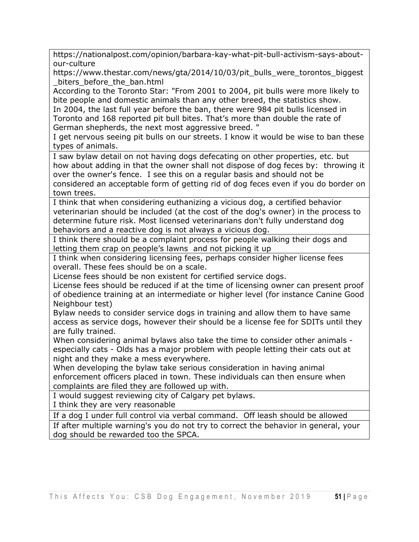https://nationalpost.com/opinion/barbara-kay-what-pit-bull-activism-says-aboutour-culture

https://www.thestar.com/news/gta/2014/10/03/pit\_bulls\_were\_torontos\_biggest\_ \_biters\_before\_the\_ban.html

According to the Toronto Star: "From 2001 to 2004, pit bulls were more likely to bite people and domestic animals than any other breed, the statistics show. In 2004, the last full year before the ban, there were 984 pit bulls licensed in Toronto and 168 reported pit bull bites. That's more than double the rate of German shepherds, the next most aggressive breed. "

I get nervous seeing pit bulls on our streets. I know it would be wise to ban these types of animals.

I saw bylaw detail on not having dogs defecating on other properties, etc. but how about adding in that the owner shall not dispose of dog feces by: throwing it over the owner's fence. I see this on a regular basis and should not be considered an acceptable form of getting rid of dog feces even if you do border on town trees.

I think that when considering euthanizing a vicious dog, a certified behavior veterinarian should be included (at the cost of the dog's owner) in the process to determine future risk. Most licensed veterinarians don't fully understand dog behaviors and a reactive dog is not always a vicious dog.

I think there should be a complaint process for people walking their dogs and letting them crap on people's lawns and not picking it up

I think when considering licensing fees, perhaps consider higher license fees overall. These fees should be on a scale.

License fees should be non existent for certified service dogs.

License fees should be reduced if at the time of licensing owner can present proof of obedience training at an intermediate or higher level (for instance Canine Good Neighbour test)

Bylaw needs to consider service dogs in training and allow them to have same access as service dogs, however their should be a license fee for SDITs until they are fully trained.

When considering animal bylaws also take the time to consider other animals especially cats - Olds has a major problem with people letting their cats out at night and they make a mess everywhere.

When developing the bylaw take serious consideration in having animal enforcement officers placed in town. These individuals can then ensure when complaints are filed they are followed up with.

I would suggest reviewing city of Calgary pet bylaws.

I think they are very reasonable

If a dog I under full control via verbal command. Off leash should be allowed

If after multiple warning's you do not try to correct the behavior in general, your dog should be rewarded too the SPCA.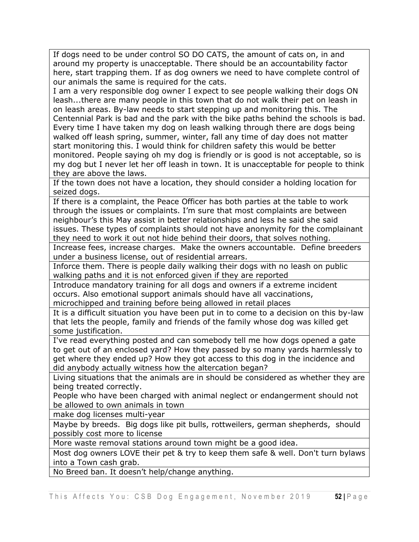If dogs need to be under control SO DO CATS, the amount of cats on, in and around my property is unacceptable. There should be an accountability factor here, start trapping them. If as dog owners we need to have complete control of our animals the same is required for the cats.

I am a very responsible dog owner I expect to see people walking their dogs ON leash...there are many people in this town that do not walk their pet on leash in on leash areas. By-law needs to start stepping up and monitoring this. The Centennial Park is bad and the park with the bike paths behind the schools is bad. Every time I have taken my dog on leash walking through there are dogs being walked off leash spring, summer, winter, fall any time of day does not matter start monitoring this. I would think for children safety this would be better monitored. People saying oh my dog is friendly or is good is not acceptable, so is my dog but I never let her off leash in town. It is unacceptable for people to think they are above the laws.

If the town does not have a location, they should consider a holding location for seized dogs.

If there is a complaint, the Peace Officer has both parties at the table to work through the issues or complaints. I'm sure that most complaints are between neighbour's this May assist in better relationships and less he said she said issues. These types of complaints should not have anonymity for the complainant they need to work it out not hide behind their doors, that solves nothing.

Increase fees, increase charges. Make the owners accountable. Define breeders under a business license, out of residential arrears.

Inforce them. There is people daily walking their dogs with no leash on public walking paths and it is not enforced given if they are reported

Introduce mandatory training for all dogs and owners if a extreme incident occurs. Also emotional support animals should have all vaccinations, microchipped and training before being allowed in retail places

It is a difficult situation you have been put in to come to a decision on this by-law that lets the people, family and friends of the family whose dog was killed get some justification.

I've read everything posted and can somebody tell me how dogs opened a gate to get out of an enclosed yard? How they passed by so many yards harmlessly to get where they ended up? How they got access to this dog in the incidence and did anybody actually witness how the altercation began?

Living situations that the animals are in should be considered as whether they are being treated correctly.

People who have been charged with animal neglect or endangerment should not be allowed to own animals in town

make dog licenses multi-year

Maybe by breeds. Big dogs like pit bulls, rottweilers, german shepherds, should possibly cost more to license

More waste removal stations around town might be a good idea.

Most dog owners LOVE their pet & try to keep them safe & well. Don't turn bylaws into a Town cash grab.

No Breed ban. It doesn't help/change anything.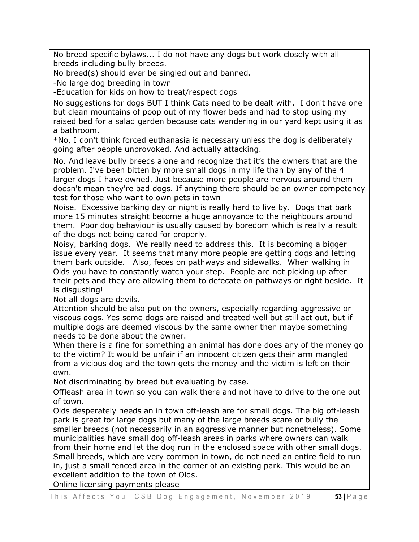No breed specific bylaws... I do not have any dogs but work closely with all breeds including bully breeds.

No breed(s) should ever be singled out and banned.

-No large dog breeding in town

-Education for kids on how to treat/respect dogs

No suggestions for dogs BUT I think Cats need to be dealt with. I don't have one but clean mountains of poop out of my flower beds and had to stop using my raised bed for a salad garden because cats wandering in our yard kept using it as a bathroom.

\*No, I don't think forced euthanasia is necessary unless the dog is deliberately going after people unprovoked. And actually attacking.

No. And leave bully breeds alone and recognize that it's the owners that are the problem. I've been bitten by more small dogs in my life than by any of the 4 larger dogs I have owned. Just because more people are nervous around them doesn't mean they're bad dogs. If anything there should be an owner competency test for those who want to own pets in town

Noise. Excessive barking day or night is really hard to live by. Dogs that bark more 15 minutes straight become a huge annoyance to the neighbours around them. Poor dog behaviour is usually caused by boredom which is really a result of the dogs not being cared for properly.

Noisy, barking dogs. We really need to address this. It is becoming a bigger issue every year. It seems that many more people are getting dogs and letting them bark outside. Also, feces on pathways and sidewalks. When walking in Olds you have to constantly watch your step. People are not picking up after their pets and they are allowing them to defecate on pathways or right beside. It is disgusting!

Not all dogs are devils.

Attention should be also put on the owners, especially regarding aggressive or viscous dogs. Yes some dogs are raised and treated well but still act out, but if multiple dogs are deemed viscous by the same owner then maybe something needs to be done about the owner.

When there is a fine for something an animal has done does any of the money go to the victim? It would be unfair if an innocent citizen gets their arm mangled from a vicious dog and the town gets the money and the victim is left on their own.

Not discriminating by breed but evaluating by case.

Offleash area in town so you can walk there and not have to drive to the one out of town.

Olds desperately needs an in town off-leash are for small dogs. The big off-leash park is great for large dogs but many of the large breeds scare or bully the smaller breeds (not necessarily in an aggressive manner but nonetheless). Some municipalities have small dog off-leash areas in parks where owners can walk from their home and let the dog run in the enclosed space with other small dogs. Small breeds, which are very common in town, do not need an entire field to run in, just a small fenced area in the corner of an existing park. This would be an excellent addition to the town of Olds.

Online licensing payments please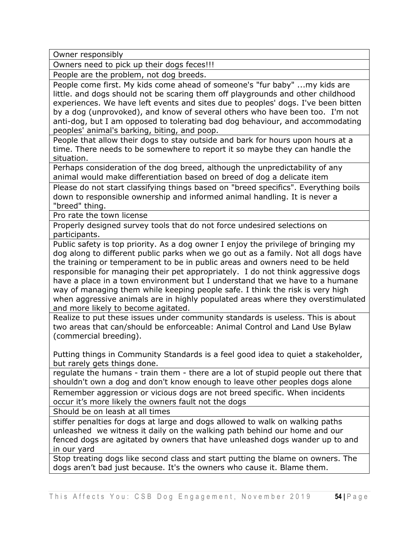Owner responsibly

Owners need to pick up their dogs feces!!!

People are the problem, not dog breeds.

People come first. My kids come ahead of someone's "fur baby" ...my kids are little. and dogs should not be scaring them off playgrounds and other childhood experiences. We have left events and sites due to peoples' dogs. I've been bitten by a dog (unprovoked), and know of several others who have been too. I'm not anti-dog, but I am opposed to tolerating bad dog behaviour, and accommodating peoples' animal's barking, biting, and poop.

People that allow their dogs to stay outside and bark for hours upon hours at a time. There needs to be somewhere to report it so maybe they can handle the situation.

Perhaps consideration of the dog breed, although the unpredictability of any animal would make differentiation based on breed of dog a delicate item

Please do not start classifying things based on "breed specifics". Everything boils down to responsible ownership and informed animal handling. It is never a "breed" thing.

Pro rate the town license

Properly designed survey tools that do not force undesired selections on participants.

Public safety is top priority. As a dog owner I enjoy the privilege of bringing my dog along to different public parks when we go out as a family. Not all dogs have the training or temperament to be in public areas and owners need to be held responsible for managing their pet appropriately. I do not think aggressive dogs have a place in a town environment but I understand that we have to a humane way of managing them while keeping people safe. I think the risk is very high when aggressive animals are in highly populated areas where they overstimulated and more likely to become agitated.

Realize to put these issues under community standards is useless. This is about two areas that can/should be enforceable: Animal Control and Land Use Bylaw (commercial breeding).

Putting things in Community Standards is a feel good idea to quiet a stakeholder, but rarely gets things done.

regulate the humans - train them - there are a lot of stupid people out there that shouldn't own a dog and don't know enough to leave other peoples dogs alone

Remember aggression or vicious dogs are not breed specific. When incidents occur it's more likely the owners fault not the dogs

Should be on leash at all times

stiffer penalties for dogs at large and dogs allowed to walk on walking paths unleashed we witness it daily on the walking path behind our home and our fenced dogs are agitated by owners that have unleashed dogs wander up to and in our yard

Stop treating dogs like second class and start putting the blame on owners. The dogs aren't bad just because. It's the owners who cause it. Blame them.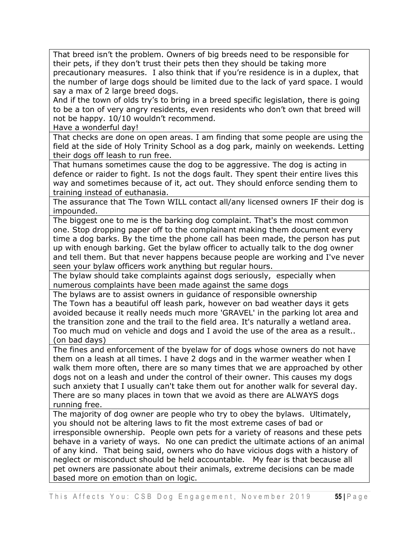That breed isn't the problem. Owners of big breeds need to be responsible for their pets, if they don't trust their pets then they should be taking more precautionary measures. I also think that if you're residence is in a duplex, that the number of large dogs should be limited due to the lack of yard space. I would say a max of 2 large breed dogs.

And if the town of olds try's to bring in a breed specific legislation, there is going to be a ton of very angry residents, even residents who don't own that breed will not be happy. 10/10 wouldn't recommend.

Have a wonderful day!

That checks are done on open areas. I am finding that some people are using the field at the side of Holy Trinity School as a dog park, mainly on weekends. Letting their dogs off leash to run free.

That humans sometimes cause the dog to be aggressive. The dog is acting in defence or raider to fight. Is not the dogs fault. They spent their entire lives this way and sometimes because of it, act out. They should enforce sending them to training instead of euthanasia.

The assurance that The Town WILL contact all/any licensed owners IF their dog is impounded.

The biggest one to me is the barking dog complaint. That's the most common one. Stop dropping paper off to the complainant making them document every time a dog barks. By the time the phone call has been made, the person has put up with enough barking. Get the bylaw officer to actually talk to the dog owner and tell them. But that never happens because people are working and I've never seen your bylaw officers work anything but regular hours.

The bylaw should take complaints against dogs seriously, especially when numerous complaints have been made against the same dogs

The bylaws are to assist owners in guidance of responsible ownership The Town has a beautiful off leash park, however on bad weather days it gets avoided because it really needs much more 'GRAVEL' in the parking lot area and the transition zone and the trail to the field area. It's naturally a wetland area. Too much mud on vehicle and dogs and I avoid the use of the area as a result.. (on bad days)

The fines and enforcement of the byelaw for of dogs whose owners do not have them on a leash at all times. I have 2 dogs and in the warmer weather when I walk them more often, there are so many times that we are approached by other dogs not on a leash and under the control of their owner. This causes my dogs such anxiety that I usually can't take them out for another walk for several day. There are so many places in town that we avoid as there are ALWAYS dogs running free.

The majority of dog owner are people who try to obey the bylaws. Ultimately, you should not be altering laws to fit the most extreme cases of bad or irresponsible ownership. People own pets for a variety of reasons and these pets behave in a variety of ways. No one can predict the ultimate actions of an animal of any kind. That being said, owners who do have vicious dogs with a history of neglect or misconduct should be held accountable. My fear is that because all pet owners are passionate about their animals, extreme decisions can be made based more on emotion than on logic.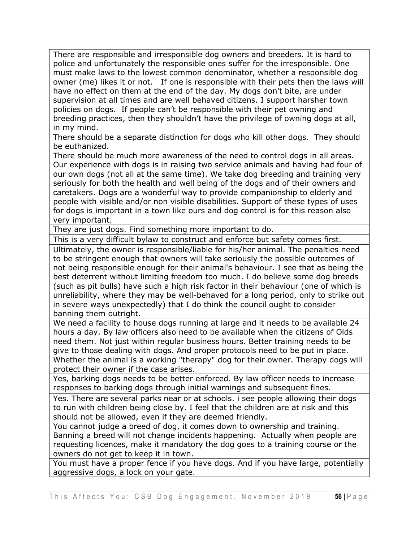There are responsible and irresponsible dog owners and breeders. It is hard to police and unfortunately the responsible ones suffer for the irresponsible. One must make laws to the lowest common denominator, whether a responsible dog owner (me) likes it or not. If one is responsible with their pets then the laws will have no effect on them at the end of the day. My dogs don't bite, are under supervision at all times and are well behaved citizens. I support harsher town policies on dogs. If people can't be responsible with their pet owning and breeding practices, then they shouldn't have the privilege of owning dogs at all, in my mind.

There should be a separate distinction for dogs who kill other dogs. They should be euthanized.

There should be much more awareness of the need to control dogs in all areas. Our experience with dogs is in raising two service animals and having had four of our own dogs (not all at the same time). We take dog breeding and training very seriously for both the health and well being of the dogs and of their owners and caretakers. Dogs are a wonderful way to provide companionship to elderly and people with visible and/or non visible disabilities. Support of these types of uses for dogs is important in a town like ours and dog control is for this reason also very important.

They are just dogs. Find something more important to do.

This is a very difficult bylaw to construct and enforce but safety comes first.

Ultimately, the owner is responsible/liable for his/her animal. The penalties need to be stringent enough that owners will take seriously the possible outcomes of not being responsible enough for their animal's behaviour. I see that as being the best deterrent without limiting freedom too much. I do believe some dog breeds (such as pit bulls) have such a high risk factor in their behaviour (one of which is unreliability, where they may be well-behaved for a long period, only to strike out in severe ways unexpectedly) that I do think the council ought to consider banning them outright.

We need a facility to house dogs running at large and it needs to be available 24 hours a day. By law officers also need to be available when the citizens of Olds need them. Not just within regular business hours. Better training needs to be give to those dealing with dogs. And proper protocols need to be put in place.

Whether the animal is a working "therapy" dog for their owner. Therapy dogs will protect their owner if the case arises.

Yes, barking dogs needs to be better enforced. By law officer needs to increase responses to barking dogs through initial warnings and subsequent fines.

Yes. There are several parks near or at schools. i see people allowing their dogs to run with children being close by. I feel that the children are at risk and this should not be allowed, even if they are deemed friendly.

You cannot judge a breed of dog, it comes down to ownership and training. Banning a breed will not change incidents happening. Actually when people are requesting licences, make it mandatory the dog goes to a training course or the owners do not get to keep it in town.

You must have a proper fence if you have dogs. And if you have large, potentially aggressive dogs, a lock on your gate.